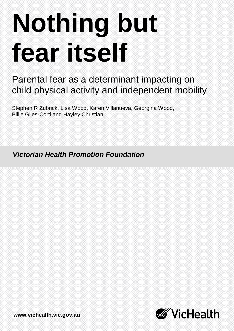# **Nothing but fear itself**

# Parental fear as a determinant impacting on child physical activity and independent mobility

Stephen R Zubrick, Lisa Wood, Karen Villanueva, Georgina Wood, Billie Giles-Corti and Hayley Christian

*Victorian Health Promotion Foundation*



**www.vichealth.vic.gov.au**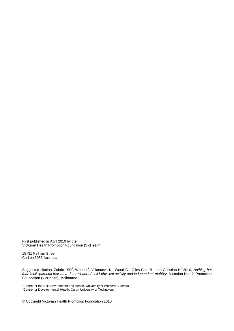First published in April 2010 by the Victorian Health Promotion Foundation (VicHealth)

15–31 Pelham Street Carlton 3053 Australia

Suggested citation: Zubrick SR<sup>2</sup>, Wood L<sup>1</sup>, Villanueva K<sup>1</sup>, Wood G<sup>1</sup>, Giles-Corti B<sup>1</sup>, and Christian H<sup>1</sup> 2010, Nothing but *fear itself: parental fear as a determinant of child physical activity and independent mobility*, Victorian Health Promotion Foundation (VicHealth), Melbourne.

<sup>1</sup>Centre for the Built Environment and Health, University of Western Australia <sup>2</sup>Centre for Developmental Health, Curtin University of Technology

© Copyright Victorian Health Promotion Foundation 2010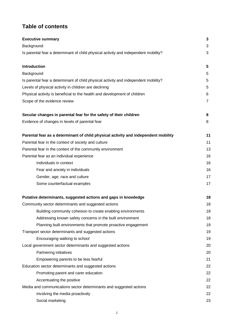# **Table of contents**

| <b>Executive summary</b>                                                            | 3              |
|-------------------------------------------------------------------------------------|----------------|
| Background                                                                          | 3              |
| Is parental fear a determinant of child physical activity and independent mobility? | 3              |
| <b>Introduction</b>                                                                 | 5              |
| Background                                                                          | 5              |
| Is parental fear a determinant of child physical activity and independent mobility? | 5              |
| Levels of physical activity in children are declining                               | 5              |
| Physical activity is beneficial to the health and development of children           | 6              |
| Scope of the evidence review                                                        | $\overline{7}$ |
| Secular changes in parental fear for the safety of their children                   | 8              |
| Evidence of changes in levels of parental fear                                      | 8              |
| Parental fear as a determinant of child physical activity and independent mobility  | 11             |
| Parental fear in the context of society and culture                                 | 11             |
| Parental fear in the context of the community environment                           | 13             |
| Parental fear as an individual experience                                           | 16             |
| Individuals in context                                                              | 16             |
| Fear and anxiety in individuals                                                     | 16             |
| Gender, age, race and culture                                                       | 17             |
| Some counterfactual examples                                                        | 17             |
| Putative determinants, suggested actions and gaps in knowledge                      | 18             |
| Community sector determinants and suggested actions                                 | 18             |
| Building community cohesion to create enabling environments                         | 18             |
| Addressing known safety concerns in the built environment                           | 18             |
| Planning built environments that promote proactive engagement                       | 1 <sub>S</sub> |
| Transport sector determinants and suggested actions                                 | 1 <sub>S</sub> |
| Encouraging walking to school                                                       | 19             |
| Local government sector determinants and suggested actions                          | 20             |
| Partnering initiatives                                                              | 20             |
| Empowering parents to be less fearful                                               | 21             |
| Education sector determinants and suggested actions                                 | 22             |
| Promoting parent and carer education                                                | 22             |
| Accentuating the positive                                                           | 22             |
| Media and communications sector determinants and suggested actions                  | 22             |
| Involving the media proactively                                                     | 22             |
| Social marketing                                                                    | 23             |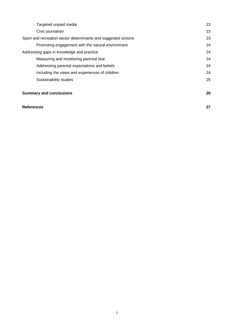| Targeted unpaid media                                          | 23 |
|----------------------------------------------------------------|----|
| Civic journalism                                               | 23 |
| Sport and recreation sector determinants and suggested actions | 23 |
| Promoting engagement with the natural environment              | 24 |
| Addressing gaps in knowledge and practice                      | 24 |
| Measuring and monitoring parental fear                         | 24 |
| Addressing parental expectations and beliefs                   | 24 |
| Including the views and experiences of children                | 24 |
| Sustainability studies                                         | 25 |
|                                                                |    |
| <b>Summary and conclusions</b>                                 | 26 |
|                                                                |    |

#### **References 27**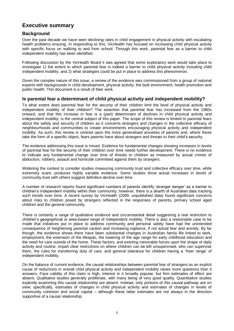# **Executive summary**

#### **Background**

Over the past decade we have seen declining rates in child engagement in physical activity with escalating health problems ensuing. In responding to this, VicHealth has focused on increasing child physical activity with specific focus on walking to and from school. Through this work, parental fear as a barrier to child independent mobility has been identified.

Following discussion by the VicHealth Board it was agreed that some exploratory work would take place to investigate 1) the extent to which parental fear is indeed a barrier to child physical activity including child independent mobility, and 2) what strategies could be put in place to address this phenomenon.

Given the complex nature of this issue, a review of the evidence was commissioned from a group of national experts with backgrounds in child development, physical activity, the built environment, health promotion and public health. This document is a result of their work.

#### **Is parental fear a determinant of child physical activity and independent mobility?**

To what extent does parental fear for the security of their children limit the level of physical activity and independent mobility of their children? The assertion that parental fear has increased from the 1960s onward, and that this increase in fear is a (part) determinant of declines in child physical activity and independent mobility, is the central subject of this paper. The scope of this review is limited to parental fears about the safety and security of children as it concerns strangers and changes in the collective efficacy of neighbourhoods and communities to create environments encouraging physical activity and independent mobility. As such, this review is centred upon the more generalised anxieties of parents and, where these take the form of a specific object, fears parents have about strangers and threats to their child's security.

The evidence addressing this issue is mixed. Evidence for fundamental changes showing increases in levels of parental fear for the security of their children over time needs further development. There is no evidence to indicate any fundamental change over time of threats to children as measured by actual crimes of abduction, robbery, assault and homicide committed against them *by strangers*.

Widening the context to consider studies measuring community trust and collective efficacy over time, while extremely scant, produces highly variable evidence. Some studies show actual increases in levels of community trust with others suggest definitive decline over time.

A number of research reports found significant numbers of parents identify 'stranger danger' as a barrier to children's independent mobility within their community; however, there is a dearth of Australian data tracking such trends over time. A recent survey by VicHealth (2009, unpublished data) found significant concerns about risks to children posed by strangers reflected in the responses of parents, primary school aged children and the general community.

There is certainly a range of qualitative evidence and circumstantial detail suggesting a real restriction to children's geographical or area-based range of independent mobility. There is also a reasonable case to be made that initiatives put in place to address community and personal safety have had the unintended consequence of heightening parental caution and increasing vigilance, if not actual fear and anxiety. By far though, the evidence shows there have been substantial changes in Australian family life linked to work, employment, the extension of the lifespan, the lowering of the age range for early childhood education and the need for care outside of the home. These factors, and exerting inexorable forces upon the shape of daily activity and routine, impart clear restrictions on where children can be left unsupervised, who can supervise them, the rules for transferring duty of care, and general tolerance for children having a 'freer range' of independent mobility.

On the balance of current evidence, the causal relationships between parental fear of strangers as an explicit cause of reductions in overall child physical activity and independent mobility raises more questions than it answers. Face validity of this claim is high, interest in it broadly popular, but firm estimates of effect are absent. Qualitative studies generally proliferate, with many being of very good quality. Quantitative studies explicitly examining this causal relationship are absent. Instead, only portions of this causal pathway are on view; specifically, estimates of changes in child physical activity and estimates of changes in levels of community cohesion and social capital – although these latter estimates are not always in the direction supportive of a causal relationship.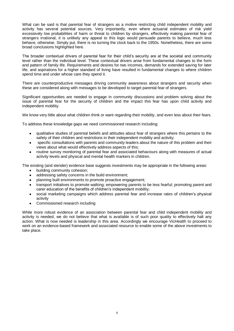What can be said is that parental fear of strangers as a motive restricting child independent mobility and activity has several potential sources. Very importantly, even where actuarial estimates of risk yield excessively low probabilities of harm or threat to children by strangers, effectively making parental fear of strangers irrational, it is unlikely any appeal to this logic would persuade parents to believe, much less behave, otherwise. Simply put, there is no turning the clock back to the 1950s. Nonetheless, there are some broad conclusions highlighted here.

The broader contextual drivers of parental fear for their child's security are at the societal and community level rather than the individual level. These contextual drivers arise from fundamental changes to the form and pattern of family life. Requirements and desires for two incomes, demands for extended saving for later life, and aspirations for a higher standard of living have resulted in fundamental changes to where children spend time and under whose care they spend it.

There are counterproductive messages driving community awareness about strangers and security when these are considered along with messages to be developed to target parental fear of strangers.

Significant opportunities are needed to engage in community discussions and problem solving about the issue of parental fear for the security of children and the impact this fear has upon child activity and independent mobility.

We know very little about what children think or want regarding their mobility, and even less about their fears.

To address these knowledge gaps we need commissioned research including:

- qualitative studies of parental beliefs and attitudes about fear of strangers where this pertains to the  $\bullet$ safety of their children and restrictions in their independent mobility and activity;
- specific consultations with parents and community leaders about the nature of this problem and their views about what would effectively address aspects of this;
- $\bullet$ routine survey monitoring of parental fear and associated behaviours along with measures of actual activity levels and physical and mental health markers in children.

The existing (and slender) evidence base suggests investments may be appropriate in the following areas:

- building community cohesion;
- addressing safety concerns in the build environment;
- $\bullet$ planning built environments to promote proactive engagement;
- transport initiatives to promote walking; empowering parents to be less fearful; promoting parent and  $\bullet$ carer education of the benefits of children's independent mobility;
- social marketing campaigns which address parental fear and increase rates of children's physical  $\bullet$ activity
- Commissioned research including  $\bullet$

While more robust evidence of an association between parental fear and child independent mobility and activity is needed, we do not believe that what is available is of such poor quality to effectively halt any action. What is now needed is leadership in this area. Accordingly we encourage VicHealth to proceed to work on an evidence-based framework and associated resource to enable some of the above investments to take place.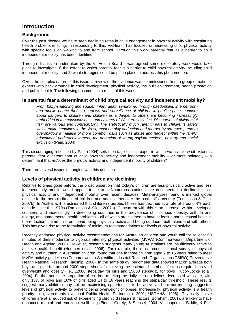# **Introduction**

#### **Background**

Over the past decade we have seen declining rates in child engagement in physical activity with escalating health problems ensuing. In responding to this, VicHealth has focused on increasing child physical activity with specific focus on walking to and from school. Through this work parental fear as a barrier to child independent mobility has been identified.

Through discussion undertaken by the VicHealth Board it was agreed some exploratory work would take place to investigate 1) the extent to which parental fear is a barrier to child physical activity including child independent mobility, and 2) what strategies could be put in place to address this phenomenon.

Given the complex nature of this issue, a review of the evidence was commissioned from a group of national experts with back grounds in child development, physical activity, the built environment, health promotion and public health. The following document is a result of this work.

#### **Is parental fear a determinant of child physical activity and independent mobility?**

*From baby-snatching and sudden infant death syndrome, through paedophilia, internet porn and mobile phone theft, to curfews and surveillance of children in public space, concern about dangers to children and children as a danger to others are becoming increasingly embedded in the consciousness and cultures of Western societies. Discourses of children 'at risk' are various and contradictory. The statistically much rarer threats to children's safety which make headlines in the West, most notably abduction and murder by strangers, tend to overshadow a malaise of more common risks such as abuse and neglect within the family, educational underachievement, the detention of young asylum seekers, poverty and social exclusion* (Pain, 2004).

This discouraging reflection by Pain (2004) sets the stage for this paper in which we ask; to what extent is parental fear a determinant of child physical activity and independent mobility – or more pointedly – a determinant that *reduces* the physical activity and independent mobility of children?

There are several issues entangled with this question.

#### **Levels of physical activity in children are declining**

Relative to times gone before, the broad assertion that today's children are less physically active and less independently mobile would appear to be true. Numerous studies have documented a decline in child physical activity and independent mobility over recent decades. Meta-analyses found a marked global decline in the aerobic fitness of children and adolescents over the past half a century (Tomkinson & Olds, 2007b). In Australia, it is estimated that children's aerobic fitness has declined at a rate of around 4% each decade since the 1970s (Tomkinson & Olds, 2007a). Concurrent with this is an increase, within developed countries and increasingly in developing countries in the prevalence of childhood obesity, asthma and allergy, and some mental health problems – all of which are claimed to have at least a partial causal basis in the reduction in time children spend being physically active and being outdoors, both alone and with others. This has given rise to the formulation of minimum recommendations for levels of physical activity.

Recently endorsed physical activity recommendations for Australian children and youth call for at least 60 minutes of daily moderate to vigorous intensity physical activities (MVPA) (Commonwealth Department of Health and Ageing, 2006). However, research suggests many young Australians are insufficiently active to achieve health benefit (Humbert et al., 2006). For example, the most recent national survey of physical activity and nutrition in Australian children, found that one in three children aged 9 to 16 years failed to meet MVPA activity guidelines (Commonwealth Scientific Industrial Research Organisation (CSIRO) Preventative Health National Research Flagship, 2008). In the same study, pedometer data showed that on average both boys and girls fell around 2000 steps short of achieving the estimated number of steps required to avoid overweight and obesity (i.e., 12000 steps/day for girls and 15000 steps/day for boys (Tudor-Locke et al., 2004). Furthermore, the proportion of children meeting the daily step guidelines decreased with age, with only 13% of boys and 16% of girls aged 14 to 16 years reaching the steps/day threshold. These results suggest many children may not be maximising opportunities to be active and are not meeting suggested levels of physical activity to prevent being overweight or obese. Increasingly, physical activity is a health priority for governments (National Public Health Partnership, 2001; USDHHS, 1996). Physically active children are at a reduced risk of experiencing chronic disease risk factors (Boreham, 2001), are likely to have enhanced mental and emotional wellbeing (Biddle, Gorely, & Stensel, 2004; Vlachopoulos, Biddle, & Fox,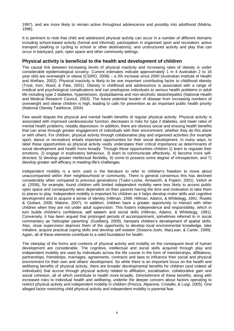1997), and are more likely to remain active throughout adolescence and possibly into adulthood (Malina, 1996).

It is pertinent to note that child and adolescent physical activity can occur in a number of different domains including school-based activity (formal and informal); participation in organised sport and recreation; active transport (walking or cycling to school or other destinations); and unstructured activity and play that can occur in backyard, park, open space and other community settings.

#### **Physical activity is beneficial to the health and development of children**

The causal link between increasing levels of physical inactivity and increasing rates of obesity is under considerable epidemiological scrutiny. Current estimates indicate approximately 1 in 4 Australian 2 to 16 year olds are overweight or obese (CSIRO, 2008) – a 3% increase since 2000 (Australian Institute of Health and Welfare, 2002). Physical inactivity is likely to be one important contributing factor to childhood obesity (Trost, Kerr, Ward, & Pate, 2001). Obesity in childhood and adolescence is associated with a range of medical and psychological complications and can predispose individuals to serious health problems in adult life including type 2 diabetes, hypertension, dyslipidaemia and non-alcoholic steatohepatitis (National Health and Medical Research Council, 2003). The future potential burden of disease from increasing numbers of overweight and obese children is high, leading to calls for prevention as an important public health priority (National Obesity Taskforce, 2004).

Few would dispute the physical and mental health benefits of regular physical activity. Physical activity is associated with improved cardiovascular function, decreases in risks for type 2 diabetes, and lower rates of mental health problems, notably depression. In addition, there are obvious social and ensuing health benefits that can arise through greater engagement of individuals with their environment, whether they do this alone or with others. For children, physical activity through collaborative play and organised activities (for example sport, dance or recreation) entails important opportunities for their social development. In many ways, to label these opportunities as physical activity vastly understates their critical importance as determinants of social development and health more broadly. Through these opportunities children 1) learn to regulate their emotions, 2) engage in exploratory behaviour, 3) learn to communicate effectively, 4) become more selfdirected, 5) develop greater intellectual flexibility, 6) come to possess some degree of introspection, and 7) develop greater self-efficacy in meeting life's challenges.

Independent mobility is a term used in the literature to refer to children's freedom to move about unaccompanied within their neighbourhood or community. There is general consensus this has declined considerably when compared to previous generations (Tudor-Locke, Ainsworth, & Popkin, 2001). Veitch et al. (2006), for example, found children with limited independent mobility were less likely to access public open space and consequently were dependent on their parents having the time and motivation to take them to places to play. Independent mobility is important for children as it helps develop motor skills and cognitive development and to acquire a sense of identity (Hillman, 1999; Hillman, Adams, & Whitelegg, 1991; Risotto & Giuliani, 2006; Malone, 2007). In addition, children have a greater opportunity to interact with other children when they are not under adult supervision. This fosters independence and responsibility, which in turn builds children's confidence, self esteem and social skills (Hillman, Adams, & Whitelegg, 1991). Conversely, it has been argued that prolonged periods of accompaniment, sometimes referred to in social commentary as 'helicopter parenting' (Guldberg, 2009), hampers children's development of spatial skills. Also, close supervision deprives them of the opportunity to develop local environmental knowledge, take initiative, acquire practical coping skills and develop self-esteem (Sissons-Joshi, MacLean, & Carter, 1999). Again, all of these elements contribute to a solid foundation for health.

The interplay of the forms and contexts of physical activity and mobility on the consequent level of human development are considerable. The cognitive, intellectual and social skills acquired through play and independent mobility are used by individuals across the life course in the form of memberships, affiliations, partnerships, friendships, marriages, agreements, contracts and laws to influence their social and physical environment for their own and others' development. So while there is an important focus on the health and wellbeing benefits of physical activity, there are broader developmental benefits for children (and indeed all individuals) that accrue through physical activity related to affiliation, socialisation, collaborative gain and social cohesion, all of which contribute to health more broadly. Diminishment of these benefits, along with increased risks to individual health and wellbeing, underlie the deeper concern about factors operating to restrict physical activity and independent mobility in children (Prezza, Alparone, Cristallo, & Luigi, 2005). One alleged factor restricting child physical activity and independent mobility is parental fear.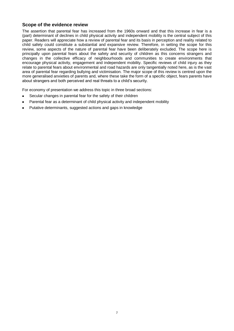#### **Scope of the evidence review**

The assertion that parental fear has increased from the 1960s onward and that this increase in fear is a (part) determinant of declines in child physical activity and independent mobility is the central subject of this paper. Readers will appreciate how a review of parental fear and its basis in perception and reality related to child safety could constitute a substantial and expansive review. Therefore, in setting the scope for this review, some aspects of the nature of parental fear have been deliberately excluded. The scope here is principally upon parental fears about the safety and security of children as this concerns strangers and changes in the collective efficacy of neighbourhoods and communities to create environments that encourage physical activity, engagement and independent mobility. Specific reviews of child injury as they relate to parental fears about environmental and road hazards are only tangentially noted here, as is the vast area of parental fear regarding bullying and victimisation. The major scope of this review is centred upon the more generalised anxieties of parents and, where these take the form of a specific object, fears parents have about strangers and both perceived and real threats to a child's security.

For economy of presentation we address this topic in three broad sections:

- $\bullet$ Secular changes in parental fear for the safety of their children
- Parental fear as a determinant of child physical activity and independent mobility
- Putative determinants, suggested actions and gaps in knowledge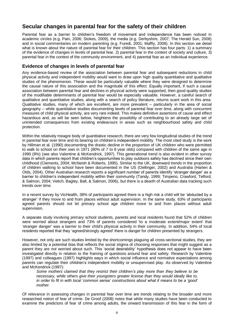## **Secular changes in parental fear for the safety of their children**

Parental fear as a barrier to children's freedom of movement and independence has been noticed in academic circles (e.g. Pain, 2006; Stokes, 2009), the media (e.g. Derbyshire, 2007; The Herald Sun, 2008) and in social commentaries on modern parenting (e.g. Furedi, 2001; Maffly, 2008). In this section we detail what is known about the nature of parental fear for their children. This section has four parts: 1) a summary of the evidence of changes in levels of parental fear, 2) parental fear in the context of society and culture, 3) parental fear in the context of the community environment, and 4) parental fear as an individual experience.

#### **Evidence of changes in levels of parental fear**

Any evidence-based review of the association between parental fear and subsequent reductions in child physical activity and independent mobility would want to draw upon high quality quantitative and qualitative studies of the phenomenon. These would be particularly valuable where they were designed to determine the causal nature of this association and the magnitude of this effect. Equally important, if such a causal association between parental fear and declines in physical activity were supported, then good quality studies of the modifiable determinants of parental fear would be especially valuable. However, a careful search of qualitative and quantitative studies, along with a search of policy literature, returns scant work in this area. Qualitative studies, many of which are excellent, are more prevalent – particularly in the area of social geography – while quantitative studies documenting levels of parental fear over time, along with concurrent measures of child physical activity, are very rare indeed. This makes definitive assertions of cause and effect hazardous and, as will be seen below, heightens the possibility of contributing to an already large set of unintended consequences from existing endeavours in areas such as neighbourhood safety and child protection.

Within the relatively meagre body of quantitative research, there are very few longitudinal studies of the trend in parental fear over time and its bearing on children's independent mobility. The most cited study is the work by Hillman et al. (1990) documenting the drastic decline in the proportion of UK children who were permitted to walk to school on their own in 1971 (80% of 7 to 8 year olds) compared with children of the same age in 1990 (9%) (see also Valentine & McKendrick, 1997). This generational trend is also evident in other survey data in which parents report that children's opportunities to play outdoors safely has declined since their own childhood (Clements, 2004; McNeish & Roberts, 1995). Similar to the UK, downward trends in the proportion of children walking to school have been documented in the US (Oellinger, 2002) and Australia (Harten & Olds, 2004). Other Australian research reports a significant number of parents identify 'stranger danger' as a barrier to children's independent mobility within their community (Tandy, 1999; Timperio, Crawford, Telford, & Salmon, 2004; Veitch, Bagley, Ball, & Salmon, 2006), but there is a dearth of Australian data tracking such trends over time.

In a recent survey by VicHealth, 38% of participants agreed there is a high risk a child will be 'abducted by a stranger' if they move to and from places without adult supervision. In the same study, 63% of participants agreed parents should not let primary school age children move to and from places without adult supervision.

A separate study involving primary school students, parents and local residents found that 52% of children were worried about strangers and 73% of parents considered 'to a moderate extent/major extent' that 'stranger danger' was a barrier to their child's physical activity in their community. In addition, 54% of local residents reported that they 'agreed/strongly agreed' there is danger for children presented by strangers.

However, not only are such studies limited by the shortcomings plaguing all cross-sectional studies, they are also limited by a potential bias that reflects the social stigma of choosing responses that might suggest as a parent they are *not* worried about such. This 'social desirability' hypothesis does not appear to have been investigated directly in relation to the framing of questions around fear and safety. Research by Valentine (1997) and colleagues (1997) highlights ways in which social influence and normative expectations among parents can regulate their children's independent mobility or unsupervised play. As observed by Valentine and McKendrick (1997):

*Some mothers claimed that they restrict their children's play more than they believe to be necessary, while others give their youngsters greater license than they would ideally like to, in order to fit in with local 'common sense' constructions about what it means to be a 'good' mother.*

Of relevance in assessing changes in parental fear over time are trends relating to the broader and more researched notion of fear of crime. De Groof (2008) notes that while many studies have been conducted to examine the predictors of fear of crime among adults, the onward transmission of this fear in the form of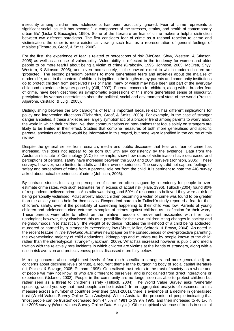insecurity among children and adolescents has been practically ignored. Fear of crime represents a significant social issue: it has become '...a component of the stresses, strains, and health of contemporary urban life' (Liska & Baccaglini, 1990). Some of the literature on fear of crime makes a helpful distinction between two different paradigms. The first considers fear of crime as a rational reaction to crime and victimisation; the other is more existential viewing such fear as a representation of general feelings of malaise (Elchardus, Groof, & Smits, 2008).

For the first, the experience of fear is related to perceptions of risk (McCrea, Shyy, Western, & Stimson, 2005) as well as a sense of vulnerability. Vulnerability is reflected in the tendency for women and older people to be more fearful about being a victim of crime (Grabosky, 1995; Johnson, 2005; McCrea, Shyy, Western, & Stimson, 2005), and, even more acutely, in the onward extent to which modern children are 'protected'. The second paradigm pertains to more generalised fears and anxieties about the malaise of modern life, and, in the context of children, is typified in the lengths many parents and community institutions go to protect children from perceived risks or harm, many of which may have been just part of the everyday childhood experience in years gone by (Gill, 2007). Parental concern for children, along with a broader fear of crime, have been described as symptomatic expressions of this more generalised sense of insecurity, precipitated by various uncertainties about the political, social and environmental state of the world (Prezza, Alparone, Cristallo, & Luigi, 2005).

Distinguishing between the two paradigms of fear is important because each has different implications for policy and intervention directions (Elchardus, Groof, & Smits, 2008). For example, in the case of stranger danger anxieties, if these anxieties are largely symptomatic of a broader trend among parents to worry about the world in which their children live, then communications or interventions that focus solely on strangers are likely to be limited in their effect. Studies that combine measures of both more generalised and specific parental anxieties and fears would be informative in this regard, but none were identified in the course of this review.

Despite the general sense from research, media and public discourse that fear and fear of crime has increased, this does not appear to be born out with any consistency by the evidence. Data from the Australian Institute of Criminology (AIC) for example, show how rates of victimisation have decreased and perceptions of personal safety have increased between the 2000 and 2004 surveys (Johnson, 2005). These surveys, however, were limited to adults and their own experiences. The surveys did not capture feelings of safety and perceptions of crime from a parental role nor from the child. It is pertinent to note the AIC survey asked about actual experiences of crime (Johnson, 2005).

By contrast, studies focusing on perception of crime are often plagued by a tendency for people to overestimate crime rates, with such estimates far in excess of actual risk (Hale, 1996). Tulloch (2004) found 80% of respondents believed crime in Australia was rising, and 50% of respondents believed they were at risk of being personally victimised. Adult anxiety about children becoming a victim of crime was found to be greater than the anxiety adults held for themselves. Respondent parents in Tulloch's study reported a fear for their children's safety, even if the possibility of something happening to their child was low. Parents of young children and adolescents cited extreme examples of crimes against children as justification for their worry. These parents were able to reflect on the relative freedom of movement associated with their own upbringing; however, they dismissed this as a possibility for their own children citing changes in society and neighbourhoods. Yet statistically, the weight of evidence indicates the likelihood of a child being abducted, murdered or harmed by a stranger is exceedingly low (Shutt, Miller, Schreck, & Brown, 2004). As noted in the recent feature in *The Weekend Australian* newspaper on the consequences of over-protective parenting, the overwhelming majority of child abductions, kidnappings and murders are by people known to the child, rather than the stereotypical 'stranger' (Jackman, 2009). What has increased however is public and media fixation with the relatively rare incidents in which children are victims at the hands of strangers, along with a rise in risk aversion and protectiveness; points discussed more fully below.

Mirroring concerns about heightened levels of fear (both specific to strangers and more generalised) are concerns about declining levels of trust, a recurrent theme in the burgeoning body of social capital literature (Li, Pickles, & Savage, 2005; Putnam, 1995). Generalised trust refers to the trust of society as a whole and of people we may not know, or who are different to ourselves, and is not gained from direct interactions or experiences (Uslaner, 2002). People in the community are no longer seen as able to protect children but rather seen as a threat to children's safety (Tulloch, 2004). The World Value Survey asks 'Generally speaking, would you say that most people can be trusted?' In an aggregated analysis of responses to this measure across a number of countries over time (1981-2001), there is evidence of a decline in generalised trust (World Values Survey Online Data Analysis). Within Australia, the proportion of people indicating that 'most people can be trusted' decreased from 47.8% in 1981 to 39.9% 1995, and then increased to 46.1% in the 2005 survey (World Values Survey Online Data Analysis). Other empirical evidence of trends in societal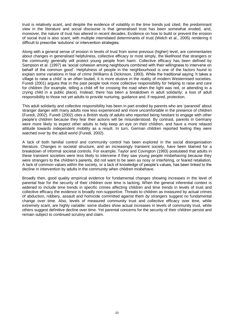trust is relatively scant, and despite the evidence of volatility in the time trends just cited, the predominant view in the literature and social discourse is that generalised trust has been somewhat eroded, and, moreover, the nature of trust has altered in recent decades. Evidence on how to build or prevent the erosion of social trust is also scant, with multiple interrelated determinants of trust (Welch et al., 2005) rendering it difficult to prescribe 'solutions' or intervention strategies.

Along with a general sense of erosion in levels of trust from some previous (higher) level, are commentaries about changes in generalised helpfulness, collective efficacy or most simply, the likelihood that strangers or the community generally will protect young people from harm. Collective efficacy has been defined by Sampson et al. (1997) as 'social cohesion among neighbours combined with their willingness to intervene on behalf of the common good'. Helpfulness of people in the neighbourhood is one of the factors found to explain some variations in fear of crime (Williams & Dickinson, 1993). While the traditional saying 'it takes a village to raise a child' is an often touted, it is more elusive in the reality of modern Westernised societies. Furedi (2001) argues that in the past people took more collective responsibility for helping to raise and care for children (for example, telling a child off for crossing the road when the light was red, or attending to a crying child in a public place). Instead, there has been a breakdown in adult solidarity; a loss of adult responsibility to those not yet adults to provide nurturing, guidance and, if required, protection.

This adult solidarity and collective responsibility has been in part eroded by parents who are 'paranoid' about stranger danger with many adults now less experienced and more uncomfortable in the presence of children (Furedi, 2002). Furedi (2002) cites a British study of adults who reported being hesitant to engage with other people's children because they fear their actions will be misunderstood. By contrast, parents in Germany were more likely to expect other adults to help keep an eye on their children, and have a more relaxed attitude towards independent mobility as a result. In turn, German children reported feeling they were watched over by the adult world (Furedi, 2002).

A lack of both familial control and community control has been explored in the social disorganisation literature. Changes in societal structure, and an increasingly transient society, have been blamed for a breakdown of informal societal controls. For example, Taylor and Covington (1993) postulated that adults in these transient societies were less likely to intervene if they saw young people misbehaving because they were strangers to the children's parents, did not want to be seen as nosy or interfering, or feared retaliation. A lack of common values within the society, or a lack of knowledge of people's values, has been linked to the decline in intervention by adults in the community when children misbehave.

Broadly then, good quality empirical evidence for fundamental changes showing increases in the level of parental fear for the security of their children over time is lacking. When the general inferential context is widened to include time trends in specific crimes affecting children and time trends in levels of trust and collective efficacy the evidence is broadly non-supportive. Threats to children as measured by actual crimes of abduction, robbery, assault and homicide committed against them *by strangers* suggest no fundamental change over time. Also, levels of measured community trust and collective efficacy over time, while extremely scant, are highly variable: some studies show actual increases in levels of community trust, while others suggest definitive decline over time. Yet parental concerns for the security of their children persist and remain subject to continued scrutiny and claim.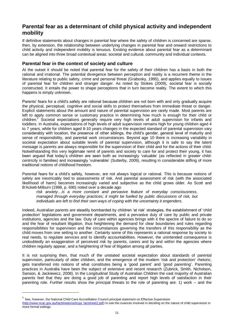# **Parental fear as a determinant of child physical activity and independent mobility**

If definitive statements about changes in parental fear where the safety of children is concerned are sparse, then, by extension, the relationship between underlying changes in parental fear and onward restrictions to child activity and independent mobility is tenuous. Existing evidence about parental fear as a determinant can be aligned into three broad contextual areas: societal and cultural, community and individual contexts.

#### **Parental fear in the context of society and culture**

At the outset it should be noted that parental fear for the safety of their children has a basis in both the rational and irrational. The potential divergence between perception and reality is a recurrent theme in the literature relating to public safety, crime and personal threat (Grabosky, 1995), and applies equally to issues of parental fear for children and stranger danger. As noted by Stokes (2009), societal fear is socially constructed. It entails the power to shape perceptions that in turn become reality. The extent to which this happens is simply unknown.

Parents' fears for a child's safety are rational because children are not born with and only gradually acquire the physical, perceptual, cognitive and social skills to protect themselves from immediate threat or danger. Explicit statements about the amount and nature of parental supervision are rarely made. Most parents are left to apply common sense or customary practice in determining how much is enough for their child or children.<sup>1</sup> Societal expectations generally require very high levels of adult supervision for infants and toddlers. In Australia, expectations of high levels of adult supervision remains high for young children aged 4 to 7 years, while for children aged 8-10 years changes in the expected standard of parental supervision vary considerably with location, the presence of other siblings, the child's gender, general level of maturity and sense of responsibility, and parental work circumstances. Beyond age 10 there is increasing variability in societal expectation about suitable levels of parental supervision, although it is safe to say the latent message is parents are always responsible for the supervision of their child and for the actions of their child. Notwithstanding this very legitimate remit of parents and society to care for and protect their young, it has been argued that today's children are seen both as increasingly 'valuable' (as reflected in greater childcentricity in families) and increasingly 'vulnerable' (Sutterby, 2009), resulting in considerable stifling of more traditional notions of childhood freedom.

Parental fears for a child's safety, however, are not always logical or rational. This is because notions of safety are inextricably tied to assessments of risk. And parental assessment of risk (with the associated likelihood of harm) becomes increasingly varied and subjective as the child grows older. As Scott and B'Ackett-Milburn (1998, p. 690) noted over a decade ago:

*risk anxiety…is a more constant and pervasive feature of everyday consciousness, managed through everyday practices; it might be fuelled by public discussions of risk, but individuals are left to find their own ways of coping with the uncertainty it engenders.*

Indeed, Australian parents are steadily bombarded by children 'at risk' strategies, the establishment of 'child protection' legislations and government departments, and a pervasive duty of care by public and private institutions, agencies and the law. Duty of care within agencies brings with it the spectre of failure to do so and the fear of resultant litigation, thus heightening the demand for clear boundaries and rules regarding responsibilities for supervision and the circumstances governing the transfers of this responsibility as the child moves from one setting to another. Certainly some of this represents a rational response by society to real needs, to regulate services and to identify accountabilities. However, the unintended consequence is undoubtedly an exaggeration of perceived risk by parents, carers and by and within the agencies where children regularly appear, and a heightening of fear of litigation among all parties.

It is not surprising then, that much of the unstated societal expectation about standards of parental supervision, particularly of older children, and the emergence of the modern 'risk and protection' rhetoric, gets transferred into notions of what constitutes being a 'good parent' and 'good parenting'. Parenting practices in Australia have been the subject of extensive and recent research (Zubrick, Smith, Nicholson, Sanson, & Jackiewicz, 2008). In the Longitudinal Study of Australian Children the vast majority of Australian parents feel that they are doing a good job of parenting and report high levels of satisfaction in their parenting role. Further results show the principal threats to the role of parenting are: 1) work – and the

-

<sup>&</sup>lt;sup>1</sup> See, however, the National Child Care Accreditation Council principal statement on Effective Supervision

[<sup>\(</sup>http://www.ncac.gov.au/factsheets/oshcqa\\_factsheet2.pdf\)](http://www.ncac.gov.au/factsheets/oshcqa_factsheet2.pdf) to see the nuances involved in deciding on the nature of child supervision in more formal settings.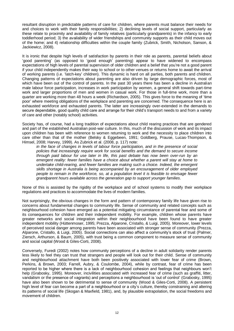resultant disruption in predictable patterns of care for children, where parents must balance their needs for and choices to work with their family responsibilities; 2) declining levels of social support, particularly as these relate to proximity and availability of family relatives (particularly grandparents) in the infancy to early toddlerhood period; 3) the availability of wider friendships and community supports as their child moves out of the home; and 4) relationship difficulties within the couple family (Zubrick, Smith, Nicholson, Sanson, & Jackiewicz, 2008).

It is ironic that despite high levels of satisfaction by parents in their role as parents, parental beliefs about 'good parenting' (as opposed to 'good enough' parenting) appear to have widened to encompass expectations of high levels of parental supervision of older children and a belief that you're not a good parent if your child independently makes their way to school or to other venues or returns home to await the arrival of working parents (i.e. 'latch-key' children). This dynamic is hard on all parties, both parents and children. Changing patterns of expectations about parenting are also driven by large demographic forces, most of which have been out of the control of parents. In the past 30 years there has been a decline in Australian male labour force participation, increases in work participation by women, a general shift towards part-time work and larger proportions of men and women in casual work. For those in full-time work, more than a quarter are working more than 48 hours a week (Richardson, 2005). This gives force to the meaning of 'time poor' where meeting obligations of the workplace and parenting are concerned. The consequence here is an exhausted workforce and exhausted parents. The latter are increasingly over-extended in the demands to secure dependable, good quality child care and arrange for their child's transport needs to and from a variety of care and other (notably school) activities.

Society has, of course, had a long tradition of expectations about child rearing practices that are gendered and part of the established Australian post-war culture. In this, much of the discussion of work and its impact upon children has been with reference to women returning to work and the necessity to place children into care other than that of the mother (Belsky & Eggebeen, 1991; Goldberg, Prause, Lucas-Thompson, & Himsel, 2008; Harvey, 1999). As Zubrick et al. (2008, p. 117) note:

*in the face of changes in levels of labour force participation, and in the presence of social policies that increasingly require work for social benefits and the demand to secure income through paid labour for use later in life, this past debate has now been over-run by an emergent reality: fewer families have a choice about whether a parent will stay at home to undertake child-rearing, and fewer families are making such a choice. Indeed, the emergent skills shortage in Australia is being accompanied by an encouragement of older employed people to remain in the workforce, so, at a population level it is feasible to envisage fewer grandparent hours available across the generation gap to support younger families*.

None of this is assisted by the rigidity of the workplace and of school systems to modify their workplace regulations and practices to accommodate the lives of modern families.

Not surprisingly, the obvious changes in the form and pattern of contemporary family life have given rise to concerns about fundamental changes to community life. Sense of community and related concepts such as neighbourhood cohesion have emerged as a potential mitigating circumstance of parental fear and some of its consequences for children and their independent mobility. For example, children whose parents have greater networks and social integration within their neighbourhood have been found to have greater independent mobility (Hüttenmoser, 1995; Prezza, Alparone, Cristallo, & Luigi, 2005). Moreover, lower levels of perceived social danger among parents have been associated with stronger sense of community (Prezza, Alparone, Cristallo, & Luigi, 2005). Social connections can also affect a community's stock of trust (Palmer, Ziersch, Arthurson, & Baum, 2005), with trust being a common component to measure sense of community and social capital (Wood & Giles-Corti, 2008).

Conversely, Furedi (2002) notes how community perceptions of a decline in adult solidarity render parents less likely to feel they can trust that strangers and people will look out for their child. Sense of community and neighbourhood attachment have both been positively associated with lower fear of crime (Brown, Perkins, & Brown, 2003; Farrell, Aubry, & Coulombe, 2004), while by contrast, fear of crime has been reported to be higher where there is a lack of neighbourhood cohesion and feelings that neighbours won't help (Grabosky, 1995). Moreover, incivilities associated with increased fear of crime (such as graffiti, litter, vandalism or the presence of vagrants) and perceptions a neighbourhood is 'out of control' (Grabosky, 1995) have also been shown to be detrimental to sense of community (Wood & Giles-Corti, 2008). A persistent high level of fear can become a part of a neighbourhood or a city's culture, thereby constraining and altering its patterns of social life (Skogan & Maxfield, 1981), and, by plausible extrapolation, the social freedoms and movement of children.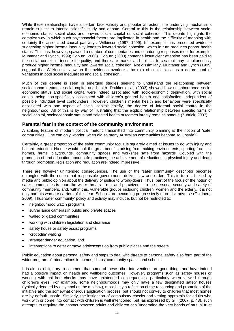While these relationships have a certain face validity and popular attraction, the underlying mechanisms remain subject to intense scientific study and debate. Central to this is the relationship between socioeconomic status, social class and onward social capital or social cohesion. This debate highlights the complex way in which such psychosocial factors are implicated in health and the difficulty of mapping with certainty the associated causal pathways. Wilkinson (1997, 1999), for example, has presented evidence suggesting higher income inequality leads to lowered social cohesion, which in turn produces poorer health status. This has, however, spawned a number of commentaries and countering responses (see, for example, Muntaner and Lynch, 1999; Coburn, 2000). Coburn (2000) contends insufficient attention has been paid to the social context of income inequality, and there are market and political forces that may simultaneously produce higher income inequality and lowered social cohesion. Not dissimilarly, Muntaner and Lynch (1999) suggest that Wilkinson's view on the evidence overlooks the role of social class as a determinant of variations in both social inequalities and social cohesion.

Much of this debate is seen in emerging studies seeking to understand the relationship between socioeconomic status, social capital and health. Drukker et al. (2003) showed how neighbourhood socioeconomic status and social capital were indeed associated with socio-economic deprivation, with social capital being non-specifically associated with children's general health and satisfaction, independent of possible individual level confounders. However, children's mental health and behaviour were specifically associated with one aspect of social capital: chiefly, the degree of informal social control in the neighbourhood. All of this is by way of illustrating that the explicit relationship between specific forms of social capital, socioeconomic status and selected health outcomes largely remains opaque (Zubrick, 2007).

#### **Parental fear in the context of the community environment**

A striking feature of modern political rhetoric transmitted into community planning is the notion of 'safer communities.' One can only wonder, when did so many Australian communities become so 'unsafe'?

Certainly, a great proportion of the safer community focus is squarely aimed at issues to do with injury and hazard reduction. No one would fault the great benefits arising from making environments, sporting facilities, homes, farms, playgrounds, community spaces and worksites safe from hazards. Coupled with the promotion of and education about safe practices, the achievement of reductions in physical injury and death through promotion, legislation and regulation are indeed impressive.

There are however unintended consequences. The use of the 'safer community' descriptor becomes entangled with the notion that responsible governments deliver 'law and order'. This in turn is fuelled by media and public opinion about the delivery of justice to wrong-doers. Thus, part of the focus of the notion of safer communities is upon the wider threats – real and perceived – to the personal security and safety of community members, and, within this, vulnerable groups including children, women and the elderly. It is not only parents who are carriers of this fear. Schools are becoming progressively more risk-adverse (Guldberg, 2009). Thus 'safer community' policy and activity may include, but not be restricted to:

- neighbourhood watch programs  $\bullet$
- surveillance cameras in public and private spaces  $\bullet$
- walled or gated communities
- working with children legislation and clearance  $\bullet$
- safety house or safety assist programs
- 'crocodile' walking
- stranger danger education, and
- interventions to deter or move adolescents on from public places and the streets.

Public education about personal safety and steps to deal with threats to personal safety also form part of the wider program of interventions in homes, shops, community spaces and schools.

It is almost obligatory to comment that some of these other interventions are good things and have indeed had a positive impact on health and wellbeing outcomes. However, programs such as safety houses or working with children checks may have unintended consequences, particularly when viewed through children's eyes. For example, some neighbourhoods may only have a few designated safety houses (typically denoted by a symbol on the mailbox), most likely a reflection of the resourcing and promotion of the initiative and the somewhat onerous application process, but should not convey to children that most homes are by default unsafe. Similarly, the instigation of compulsory checks and vetting approvals for adults who work with or come into contact with children is well intentioned, but, as expressed by Gill (2007, p. 48), such attempts to regulate the contact between adults and children can 'undermine the very bonds of mutual trust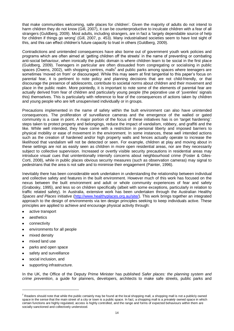that make communities welcoming, safe places for children'. Given the majority of adults do not intend to harm children they do not know (Gill, 2007), it can be counterproductive to inculcate children with a fear of all strangers (Guldberg, 2009). Most adults, including strangers, are in fact a 'largely dependable source of help for children if things go wrong' (Gill, 2007, p. 453). Many industrialised societies seem to have lost sight of this, and this can effect children's future capacity to trust in others (Guldberg, 2009).

Contradictions and unintended consequences have also borne out of government youth work policies and programs which are often aimed at 'getting children off the streets' in the name of preventing or combating anti-social behaviour, when ironically the public domain is where children learn to be social in the first place (Guldberg, 2009). Teenagers in particular are often dissuaded from congregating or socialising in public spaces (Owens, 2002), with shopping centres, malls<sup>2</sup> and public parks among spaces where teenagers are sometimes 'moved on from' or discouraged. While this may seem at first tangential to this paper's focus on parental fear, it is pertinent to note policy and planning decisions that are not child-friendly, or that discourage the presence of adolescents, contribute to societal norms about children and their movement and place in the public realm. More pointedly, it is important to note some of the elements of parental fear are actually derived from fear of children and particularly young people (the pejorative use of 'juveniles' signals this) themselves. This is particularly with reference to fear of the consequences of actions taken by children and young people who are left unsupervised individually or in groups.

Precautions implemented in the name of safety within the built environment can also have unintended consequences. The proliferation of surveillance cameras and the emergence of the walled or gated community is a case in point. A major portion of the focus of these initiatives has is on 'target hardening': steps taken to protect property and belongings, reduce the impact of vandalism, robbery, and graffiti and the like. While well intended, they have come with a restriction in personal liberty and imposed barriers to physical mobility or ease of movement in the environment. In some instances, these well intended actions such as the creation of hardened and/or high property walls and fences actually operate to increase the likelihood that vandalism will not be detected or seen. For example, children at play and moving about in these settings are not as easily seen as children in more open residential areas, nor are they necessarily subject to collective supervision. Increased or overtly visible security precautions in residential areas may introduce visual cues that unintentionally intensify concerns about neighbourhood crime (Foster & Giles-Corti, 2008), while in public places obvious security measures (such as observation cameras) may signal to pedestrians that the area is not safe and to minimise their engagement (Painter, 1996).

Inevitably there has been considerable work undertaken in understanding the relationship between individual and collective safety and features in the built environment. However much of this work has focused on the nexus between the built environment and adult or whole community experiences of fear and safety (Grabosky, 1995), and less so on children specifically (albeit with some exceptions, particularly in relation to traffic related safety). In Australia, extensive work has been undertaken through the Australian Healthy *Spaces and Places* initiative [\(http://www.healthyplaces.org.au/site/\)](http://www.healthyplaces.org.au/site/). This work brings together an integrated approach to the design of environments via ten design principles seeking to keep individuals active. These principles are applied to achieve and encourage physical activity through:

- [active transport](http://www.healthyplaces.org.au/site/design_for_active_transport.php)
- [aesthetics](http://www.healthyplaces.org.au/site/aesthetics.php)
- [connectivity](http://www.healthyplaces.org.au/site/connectivity.php)  $\bullet$
- [environments for all](http://www.healthyplaces.org.au/site/environments_for_all.php) people
- [mixed density](http://www.healthyplaces.org.au/site/mixed_density.php)

-

- [mixed land use](http://www.healthyplaces.org.au/site/mixed_land_use.php)  $\bullet$
- [parks and open space](http://www.healthyplaces.org.au/site/parks_and_open_space.php)
- [safety and surveillance](http://www.healthyplaces.org.au/site/safety_and_surveillance.php)   $\blacksquare$
- [social inclusion,](http://www.healthyplaces.org.au/site/social_inclusion.php) and
- [supporting infrastructure.](http://www.healthyplaces.org.au/site/supporting_infrastructure.php)

In the UK, the Office of the Deputy Prime Minister has published *Safer places: the planning system and crime prevention*, a guide for planners, developers, architects to make safe streets, public parks and

<sup>&</sup>lt;sup>2</sup> Readers should note that while the public certainly may be found at the local shopping mall, a shopping mall is not a publicly owned space in the sense that the main street of a city or town is a public space. In fact, a shopping mall is a *privately* owned space in which certain functions are highly regulated, access is highly controlled, and the range and forms of expected behaviours within them are socially sanctioned and collectively understood.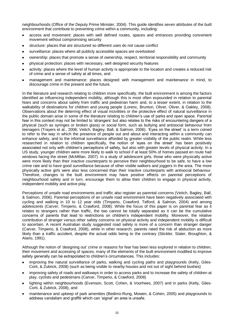neighbourhoods (Office of the Deputy Prime Minister, 2004). This guide identifies seven attributes of the built environment that contribute to preventing crime within a community, including:

- access and movement: places with well defined routes, spaces and entrances providing convenient movement without compromising security
- structure: places that are structured so different uses do not cause conflict
- surveillance: places where all publicly accessible spaces are overlooked  $\bullet$
- ownership: places that promote a sense of ownership, respect, territorial responsibility and community
- physical protection: places with necessary, well designed security features
- activity: places where the level of human activity is appropriate to the location and creates a reduced risk of crime and a sense of safety at all times, and
- management and maintenance: places designed with management and maintenance in mind, to discourage crime in the present and the future.

In the literature and research relating to children more specifically, the built environment is among the factors identified as influencing independent mobility, although this is most often expounded in relation to parental fears and concerns about safety from traffic and pedestrian harm and, to a lesser extent, in relation to the walkability of destinations for children and young people (Lorenc, Brunton, Oliver, Oliver, & Oakley, 2008). Observations about the deterring effect of visual incivilities or the protective effect of natural surveillance in the public domain arise in some of the literature relating to children's use of parks and open space. Parental fear in this context may not be limited to 'strangers' but also relates to the risks of encountering dangers of a physical (such as syringes or broken glass) or social form, such as bullying and antisocial behaviour from teenagers (Trayers et al., 2006; Veitch, Bagley, Ball, & Salmon, 2006). 'Eyes on the street' is a term coined to refer to the way in which the presence of people out and about and interacting within a community can enhance safety, and to the informal surveillance afforded by greater visibility of the public realm. While less researched in relation to children specifically, the notion of 'eyes on the street' has been positively associated not only with children's perceptions of safety, but also with greater levels of physical activity. In a US study, younger children were more likely to walk to school if at least 50% of homes passed en route had windows facing the street (McMillan, 2007). In a study of adolescent girls, those who were physically active were more likely than their inactive counterparts to perceive their neighbourhood to be safe, to have a low crime rate and to have good surveillance because of other visible walkers and joggers in the area. The more physically active girls were also less concerned than their inactive counterparts with antisocial behaviour. Therefore, changes to the built environment may have positive effects on parental perceptions of neighbourhood safety and in turn, encourage them to allow their children to engage in physical activity, independent mobility and active play.

Perceptions of unsafe road environments and traffic also register as parental concerns (Veitch, Bagley, Ball, & Salmon, 2006). Parental perceptions of an unsafe road environment have been negatively associated with cycling and walking in 10 to 12 year olds (Timperio, Crawford, Telford, & Salmon, 2004) and among adolescents (Carver, Timperio, & Crawford, 2008). While the focus of this paper is on parental fear as it relates to strangers rather than traffic, the two cannot be totally separated as it can be the cumulative concerns of parents that lead to restrictions on children's independent mobility. Moreover, the relative contribution of stranger versus other safety concerns on physical activity and independent mobility is difficult to ascertain. A recent Australian study suggested road safety is more of a concern than stranger danger (Carver, Timperio, & Crawford, 2008), while in other research, parents rated the risk of abduction as more likely than a traffic accident, despite the actual odds being to the contrary (Stickler, Slater, Broughton, & Alario, 1991).

Although the notion of 'designing out' crime or reasons for fear has been less explored in relation to children, their movement and accessing of spaces, many of the elements of the built environment modified to improve safety generally can be extrapolated to children's circumstances. This includes:

- improving the natural surveillance of parks, walking and cycling paths and playgrounds (Kelty, Giles-Corti, & Zubrick, 2008) (such as being visible to nearby houses and not out of sight behind bushes)
- improving safety of roads and walkways in order to access parks and to increase the safety of children at play, cyclists and pedestrians (Carver, Timperio, & Crawford, 2008)
- lighting within neighbourhoods (Evenson, Scott, Cohen, & Voorhees, 2007) and in parks (Kelty, Giles-Corti, & Zubrick, 2008), and
- maintenance and upkeep of park amenities (Bedimo-Rung, Mowen, & Cohen, 2005) and playgrounds to address vandalism and graffiti which can 'signal' an area is unsafe.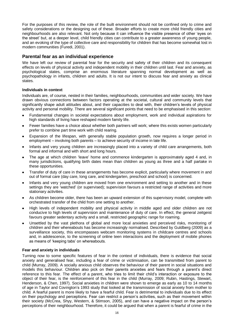For the purposes of this review, the role of the built environment should not be confined only to crime and safety considerations or the designing out of these. Broader efforts to create more child friendly cities and neighbourhoods are also relevant. Not only because it can influence the visible presence of other 'eyes on the street' but, at a deeper level, child friendly cities can contribute to a greater awareness of young people, and an evoking of the type of collective care and responsibility for children that has become somewhat lost in modern communities (Furedi, 2001).

#### **Parental fear as an individual experience**

We have left our review of parental fear for the security and safety of their children and its consequent effects on levels of physical activity and independent mobility in their children until last. Fear and anxiety, as psychological states, comprise an enormous literature spanning normal development as well as psychopathology in infants, children and adults. It is not our intent to discuss fear and anxiety as clinical states.

#### **Individuals in context**

Individuals are, of course, nested in their families, neighbourhoods, communities and wider society. We have drawn obvious connections between factors operating at the societal, cultural and community levels that significantly shape adult attitudes about, and their capacities to deal with, their children's levels of physical activity and personal mobility. There are several significant points that need to be emphasised in this section:

- Fundamental changes in societal expectations about employment, work and individual aspirations for high standards of living have reshaped modern family life.
- Fewer families have a choice about whether both partners will work; where this exists women particularly prefer to combine part time work with child rearing.
- Expansion of the lifespan, with generally stable population growth, now requires a longer period in employment – involving both parents – to achieve security of income in late life.
- Infants and very young children are increasingly placed into a variety of child care arrangements, both formal and informal and with short and long hours.
- The age at which children 'leave' home and commence kindergarten is approximately aged 4 and, in many jurisdictions, qualifying birth dates mean than children as young as three and a half partake in these opportunities.
- Transfer of duty of care in these arrangements has become explicit, particularly where movement in and out of formal care (day care, long care, and kindergarten, preschool and school) is concerned.
- Infants and very young children are moved from one environment and setting to another and in these settings they are 'watched' (or supervised); supervision favours a restricted range of activities and more stationary activities.
- As children become older, there has been an upward extension of this supervisory model, complete with orchestrated transfer of the child from one setting to another.
- High levels of independent mobility and physical activity in middle aged and older children are not conducive to high levels of supervision and maintenance of duty of care. In effect, the general zeitgeist favours greater sedentary activity and a small, restricted geographic range for roaming.
- Unsettled by the vast plethora of global and more local anxieties and perceived risks, monitoring of children and their whereabouts has become increasingly normalised. Described by Guldberg (2009) as a surveillance society, this encompasses webcam monitoring systems in childcare centres and schools and, in adolescence, to the screening of online teen interactions and the deployment of mobile phones as means of 'keeping tabs' on whereabouts.

#### **Fear and anxiety in individuals**

Turning now to some specific features of fear in the context of individuals, there is evidence that social anxiety and generalised fear, including a fear of crime or victimisation, can be transmitted from parent to child (Murray, 2009). A socially anxious child observes the behaviour of their parent in social situations and models this behaviour. Children also pick on their parents anxieties and fears through a parent's direct reference to this fear. The effect of a parent, who tries to limit their child's interaction or exposure to the object of their fear, is the reinforcement of this fear in the child (Murray, 2009; Rubin, Hastings, Stewart, Henderson, & Chen, 1997). Social anxieties in children were shown to emerge as early as 10 to 14 months of age in Taylor and Covington's 1993 study that looked at the transmission of social anxiety from mother to child. A fearful parent is more likely to have a fearful child. Fear is detrimental to individuals due to its effect on their psychology and perceptions. Fear can restrict a person's activities, such as their movement within their society (McCrea, Shyy, Western, & Stimson, 2005), and can have a negative impact on the person's perceptions of their neighbourhood. Therefore, it could be argued that when a parent is fearful of crime in the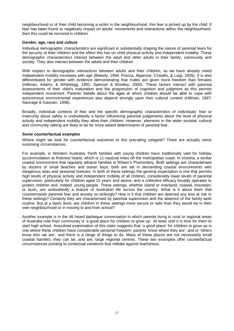neighbourhood or of their child becoming a victim in the neighbourhood, this fear is picked up by the child. If fear has been found to negatively impact on adults' movements and interactions within the neighbourhood, then this could be mirrored in children.

#### **Gender, age, race and culture**

Individual demographic characteristics are significant in substantially shaping the nature of parental fears for the security of their children and the effect this has on child physical activity and independent mobility. These demographic characteristics interact between the adult and other adults in their family, community and society. They also interact between the adults and their children.

With respect to demographic interactions between adults and their children, as we have already noted independent mobility increases with age (Blakely, 1994; Prezza, Alparone, Cristallo, & Luigi, 2005). It is also differentiated for gender with evidence demonstrating that males are given more freedom than females (Hillman, Adams, & Whitelegg, 1991; Spencer & Woolley, 2000). These factors interact with parental assessments of their child's maturation and the progression of cognition and judgment as this permits independent movement. Parents' beliefs about the ages at which children should be able to cope with autonomous environmental experiences also depend strongly upon their cultural context (Hillman, 1997; Sauvage & Gauvain, 1998).

Broadly, individual contexts of fear and the specific demographic characteristics of individuals' fear or insecurity about safety is undoubtedly a factor influencing parental judgements about the level of physical activity and independent mobility they allow their children. However, elements in the wider societal, cultural and community setting are likely to be far more salient determinants of parental fear.

#### **Some counterfactual examples**

Where might we look for counterfactual outcomes to this prevailing zeitgeist? There are actually some surprising circumstances.

For example, in Western Australia, Perth families with young children have traditionally vied for holiday accommodation at Rottnest Island, which is 11 nautical miles off the metropolitan coast. In Victoria, a similar coastal environment that regularly attracts families is Wilson's Promontory. Both settings are characterised by dozens of small beaches and ocean bays; both are set in demanding coastal environments with dangerous seas and seasonal breezes. In both of these settings the general expectation is one that permits high levels of physical activity and independent mobility of all children, considerably lower levels of parental supervision, particularly for children aged 10 years and above, and a collective efficacy broadly operates to protect children and, indeed, young people. These settings, whether island or mainland, coastal, mountain, or bush, are undoubtedly a feature of Australian life across the country. What is it about them that countermands parental fear and anxiety so strikingly? How is it that children are deemed any less at risk in these settings? Certainly they are characterised by parental supervision and the absence of the family work routine. But at a basic level, are children in these settings more secure or safe than they would be in their own neighbourhood or in moving to and from school?

Another example is in the oft heard barbeque conversation in which parents living in rural or regional areas of Australia note their community is 'a good place for children to grow up'. At least until it is time for them to start high school. Anecdotal examination of this claim suggests that 'a good place' for children to grow up is one where these children have considerable personal freedom; parents 'know where they are', and or 'others know who we are', and there is a range of things to do. Many of these places are not necessarily small coastal hamlets; they can be, and are, large regional centres. These two examples offer counterfactual circumstances pointing to contextual variations that militate against fearfulness.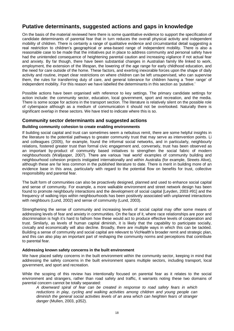# **Putative determinants, suggested actions and gaps in knowledge**

On the basis of the material reviewed here there is some quantitative evidence to support the specification of candidate determinants of parental fear that in turn reduces the overall physical activity and independent mobility of children. There is certainly a range of qualitative evidence and circumstantial detail suggesting a real restriction to children's geographical or area-based range of independent mobility. There is also a reasonable case to be made that the initiatives put in place to address community and personal safety have had the unintended consequence of heightening parental caution and increasing vigilance if not actual fear and anxiety. By far though, there have been substantial changes in Australian family life linked to work, employment, the extension of the lifespan, the lowering of the age range for early childhood education, and the need for care outside of the home. These factors, and exerting inexorable forces upon the shape of daily activity and routine, impart clear restrictions on where children can be left unsupervised, who can supervise them, the rules for transferring duty of care, and general tolerance for children having a 'freer range' of independent mobility. For this reason we have labelled the determinants in this section as 'putative.'

Possible actions have been organised with reference to key settings. The primary candidate settings for action include: the community sector, education, local government, sport and recreation, and the media. There is some scope for actions in the transport section. The literature is relatively silent on the possible role of cyberspace although as a medium of communication it should not be overlooked. Naturally there is significant overlap in these sectors. We have tried to indicate where this is so.

#### **Community sector determinants and suggested actions**

#### **Building community cohesion to create enabling environments**

If building social capital and trust can sometimes seem a nebulous remit, there are some helpful insights in the literature to the potential pathways to greater community trust that may serve as intervention points. Li and colleagues (2005), for example, found the informal social networks, and in particularly, neighbourly relations, fostered greater trust than formal civic engagement and, conversely, trust has been observed as an important by-product of community based initiatives to strengthen the social fabric of modern neighbourhoods (Walljasper, 2007). There are various 'real world' examples of community building and neighbourhood cohesion projects instigated internationally and within Australia (for example, Streets Alive), although these are far less common in the published literature to date. There is merit in building more of an evidence base in this area, particularly with regard to the potential flow on benefits for trust, collective responsibility and parental fear.

The built form of communities can also be proactively designed, planned and used to enhance social capital and sense of community. For example, a more walkable environment and street network design has been found to promote neighbourly interactions and the development of social capital [Leyden, 2003 #91] and the frequency of walking trips within neighbourhoods has been positively associated with unplanned interactions with neighbours (Lund, 2002) and sense of community (Lund, 2003).

Strengthening the sense of community and increasing levels of social capital may offer some means of addressing levels of fear and anxiety in communities. On the face of it, where race relationships are poor and discrimination is high it's hard to fathom how these would act to produce effective levels of cooperation and trust. Similarly, as levels of human capital diminish, it is likely that the capability to participate socially, civically and economically will also decline. Broadly, there are multiple ways in which this can be tackled. Building a sense of community and social capital are relevant to VicHealth's broader remit and strategic plan, and this can also play an important part of reshaping the community norms and perceptions that contribute to parental fear.

#### **Addressing known safety concerns in the built environment**

We have placed safety concerns in the built environment within the community sector, keeping in mind that addressing the safety concerns in the built environment spans multiple sectors, including transport, local government, and sport and recreation.

While the scoping of this review has intentionally focused on parental fear as it relates to the social environment and strangers, rather than road safety and traffic, it warrants noting these two domains of parental concern cannot be totally separated:

*A downward spiral of fear can be created in response to road safety fears in which reductions in play, cycling and walking activities among children and young people can diminish the general social activities levels of an area which can heighten fears of stranger danger* (Mullen, 2003, p352).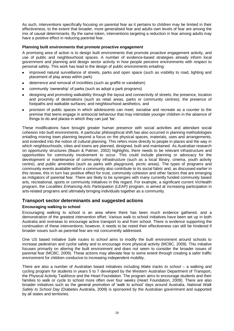As such, interventions specifically focusing on parental fear as it pertains to children may be limited in their effectiveness, to the extent that broader, more generalised fear and adults own levels of fear are among the mix of causal determinants. By the same token, interventions targeting a reduction in fear among adults may have a positive effect in reducing parental fear.

#### **Planning built environments that promote proactive engagement**

A promising area of action is to design built environments that promote proactive engagement activity, and use of public and neighbourhood spaces. A number of evidence-based strategies already inform local government and planning and design sector activity in how people perceive environments with respect to personal safety. This work has lead to the design of public environments entailing:

- improved natural surveillance of streets, parks and open space (such as visibility to road, lighting and placement of play areas within park)
- deterrence and removal of incivilities (such as graffiti or vandalism)
- community 'ownership' of parks (such as adopt a park programs)  $\bullet$
- designing and promoting walkability through the layout and connectivity of streets; the presence, location and proximity of destinations (such as retail areas, parks or community centres); the presence of footpaths and walkable surfaces; and neighbourhood aesthetics, and
- provision of public spaces in which adolescents can meet, socialise and recreate as a counter to the premise that teens engage in antisocial behaviour that may intimidate younger children in the absence of things to do and places in which they can just 'be'.

These modifications have brought greater human presence with social activities and attendant social cohesion into built environments. A particular philosophical shift has also occurred in planning methodologies entailing moving town planning beyond a focus on the physical spaces, materials, uses and arrangements, and extended into the notion of cultural planning. This refers more directly to people in places and the way in which neighbourhoods, cities and towns are planned, designed, built and maintained. As Australian research on opportunity structures (Baum & Palmer, 2002) highlights, there needs to be relevant infrastructure and opportunities for community involvement to occur. This could include planning or advocacy for the development or maintenance of community infrastructure (such as a local library, cinema, youth activity centre), and public amenities (such as parks with playground, picnic areas). The types of programs and community events available within a community also contribute to its social fabric and, as discussed earlier in this review, this in turn has positive effect for trust, community cohesion and other factors that are emerging as mitigators of parental fear. There are likely to be synergies with many currently funded community based arts, recreational, sports or community initiatives in this regard. For example, a significant current VicHealth program, the *Localities Enhancing Arts Participation (LEAP)* program, is aimed at increasing participation in arts-related programs and ultimately bringing individuals together as a community.

#### **Transport sector determinants and suggested actions**

#### **Encouraging walking to school**

Encouraging walking to school is an area where there has been much evidence gathered, and a demonstration of the greatest intervention effort. Various walk to school initiatives have been set up in both Australia and overseas to encourage active transport to and from school. There is evidence supporting the continuation of these interventions; however, it needs to be noted their effectiveness can still be hindered if broader issues such as parental fear are not concurrently addressed.

One US based initiative *Safe routes to school* aims to modify the built environment around schools to increase pedestrian and cyclist safety and to encourage more physical activity (MCBC, 2009). This initiative focuses primarily on altering the built environment and does not seem to consider the broader issues of parental fear (MCBC, 2009). These actions may alleviate fear to some extent through creating a safer traffic environment for children conducive to increasing independent mobility.

There are also a number of Australian based initiatives including *Make tracks to school* – a walking and cycling program for students in years 5 to 7 developed by the Western Australian Department of Transport, the Physical Activity Taskforce and the Heart Foundation. The program aims to encourage students and their families to walk or cycle to school more often over four weeks (Heart Foundation, 2009). There are also broader initiatives such as the general promotion of 'walk to school' days around Australia. *National Walk Safely to School Day* (Diabetes Australia, 2009) is sponsored by the Australian government and supported by all states and territories.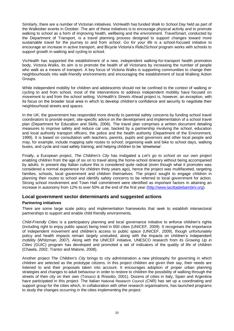Similarly, there are a number of Victorian initiatives. VicHealth has funded *Walk to School Day* held as part of the Walktober events in October. The aim of these initiatives is to encourage physical activity and to promote walking to school as a form of improving health, wellbeing and the environment. *TravelSmart*, conducted by the Department of Transport, is a travel planning process designed to support changes toward more sustainable travel for the journey to and from school. *Go for your life* is a school-focused initiative to encourage an increase in active transport, and Bicycle Victoria's *Ride2School* program works with schools to support growth in walking and cycling to school.

VicHealth has supported the establishment of a new, independent walking-for-transport health promotion body, Victoria Walks. Its aim is to promote the health of all Victorians by increasing the number of people who walk as a means of transport. A key focus of Victoria Walks is supporting communities to change their neighbourhoods into walk-friendly environments and encouraging the establishment of local Walking Action Groups.

While independent mobility for children and adolescents should not be confined to the context of walking or cycling to and from school, most of the interventions to address independent mobility have focused on movement to and from the school setting. VicHealth's *Streets Ahead* project is, however, an exception, with its focus on the broader local area in which to develop children's confidence and security to negotiate their neighbourhood streets and spaces.

In the UK, the government has responded more directly to parental safety concerns by funding school travel coordinators to provide expert, site-specific advice on the development and implementation of a school travel plan (Department for Education and Skills, 2006). The travel plan comprises a written document detailing measures to improve safety and reduce car use, backed by a partnership involving the school, education and local authority transport officers, the police and the health authority (Department of the Environment, 1999). It is based on consultation with teachers, parents, pupils and governors and other local people and may, for example, include mapping safe routes to school; organising walk and bike to school days, walking buses, and cycle and road safety training; and helping children to be 'streetwise'.

Finally, a European project, *The Children's City* has instigated a *Let's go to school on our own* project enabling children from the age of six on to travel along the home-school itinerary without being accompanied by adults. In present day Italian culture this is considered quite radical (even though what it promotes was considered a normal experience for children thirty years ago), hence the project was multifaceted, targeting families, schools, local government and children themselves. The project sought to engage children in planning their routes to school and identify safety concerns to be referred to local government for action. Strong school involvement and Town Hall commitment were identified as important factors in attaining an increase in autonomy from 12% to over 50% at the end of the first year [\(http://www.lacittadeibambini.org\)](http://www.lacittadeibambini.org/).

#### **Local government sector determinants and suggested actions**

#### **Partnering initiatives**

There are some large scale policy and implementation frameworks that seek to establish intersectoral partnerships to support and enable child friendly environments.

*Child-Friendly Cities* is a participatory planning and local governance initiative to enforce children's rights (including right to enjoy public space) being tried in 650 cities (UNICEF, 2009). It recognises the importance of independent movement and children's access to public space (UNICEF, 2009), though unfortunately policy and health impacts remain largely unstudied, along with the impacts on children's independent mobility (Whitzman, 2007). Along with the UNICEF initiative, UNESCO research from its *Growing Up in Cities* (GUIC) program has developed and promoted a set of indicators of the quality of life of children (Chawla, 2002; Trantor and Malone, 2008).

Another project *The Children's City* brings to city administration a new philosophy for governing in which children are selected as the prototype citizens. In this project children are given their say, their needs are listened to and their proposals taken into account. It encourages adoption of proper urban planning strategies and changes to adult behaviour in order to restore to children the possibility of walking through the streets of their city on their own (Tonucci & Rissotto, 2001). Dozens of cities in Italy, Spain and Argentina have participated in this project. The Italian National Research Council (CNR) has set up a coordinating and support group for the cities which, in collaboration with other research organisations, has launched programs to study the changes occurring in the cities implementing the project.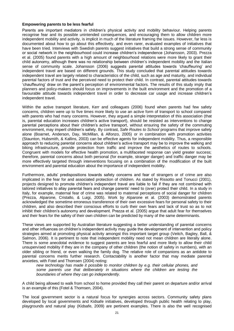#### **Empowering parents to be less fearful**

Parents are important mediators in children's physical activity and mobility behaviour. Helping parents recognise fear and its possible unintended consequences, and encouraging them to allow children more independent mobility and activity, is implicit in much of the literature framing the issues. However, far less is documented about how to go about this effectively, and even rarer, evaluated examples of initiatives that have been tried. Interviews with Swedish parents suggest initiatives that build a strong sense of community or social network in the neighbourhood could increase children's independence (Johansson, 2003). Prezza et al. (2005) found parents with a high amount of neighbourhood relations were more likely to grant their child autonomy, although there was no relationship between children's independent mobility and the Italian sense of community scale. Johansson (2006) suggests parental attitudes towards 'chauffeuring' and independent travel are based on different grounds. This study concluded that parental attitudes towards independent travel are largely related to characteristics of the child, such as age and maturity, and individual parental factors of trust and the perceived need to protect their child. In contrast, parental attitudes towards 'chauffeuring' draw on the parent's perception of environmental factors. The results of this study imply that planners and policy-makers should focus on improvements in the built environment and the promotion of a favourable attitude towards independent travel in order to decrease car usage and increase children's independent travel.

Within the active transport literature, Kerr and colleagues (2006) found when parents had few safety concerns, children were up to five times more likely to use an active form of transport to school compared with parents who had many concerns. However, they argued a simple interpretation of this association (that is, parental education increases children's active transport), should be resisted as interventions to change parental perceptions about their children's active transport, without ensuring the safety of the commuting environment, may imperil children's safety. By contrast, *Safe Routes to School* programs that improve safety alone (Boarnet, Anderson, Day, McMillan, & Alfonzo, 2005) or in combination with promotion activities (Staunton, Hubsmith, & Kallins, 2003) can be effective agents for independent mobility. Thus, a responsible approach to reducing parental concerns about children's active transport may be to improve the walking and biking infrastructure, provide protection from traffic and improve the aesthetics of routes to schools. Congruent with models for effective health promotion, a multifaceted response can yield greater success; therefore, parental concerns about both personal (for example, stranger danger) and traffic danger may be more effectively targeted through interventions focusing on a combination of the modification of the built environment and parental education about the importance of independent mobility.

Furthermore, adults' predispositions towards safety concerns and fear of strangers or of crime are also implicated in the fear for and associated protection of children. As stated by Rissotto and Tonucci (2001), projects designed to promote children's independent travel are liable to fail if they are not combined with tailored initiatives to allay parental fears and change parents' need to (over) protect their child. In a study in Italy, for example, maternal fear of crime was related to maternal perceptions of social danger for children (Prezza, Alparone, Cristallo, & Luigi, 2005). Work by Alparone et al. (2003) demonstrated parents acknowledged the sometime erroneous transference of their own excessive fears for personal safety to their children, and also described their conscious efforts to curb their own fears and lack of trust so as to not inhibit their children's autonomy and development. Prezza et al. (2005) argue that adult fear for themselves and their fears for the safety of their own children can be predicted by many of the same determinants.

These views are supported by Australian literature suggesting a better understanding of parental concerns and other influences on children's independent activity may guide the development of intervention and policy strategies aimed at promoting physical activity amongst this important target group (Veitch, Bagley, Ball, & Salmon, 2006). It is pertinent to note that independent mobility need not mean children are literally alone. There is some anecdotal evidence to suggest parents are less fearful and more likely to allow their child unsupervised mobility if they are in the company of other children (the notion of safety in numbers), with an older sibling or friend, or even walking the family dog. The relative role of companions as an antidote to parental concerns merits further research. Contactability is another factor that may mediate parental anxieties, with Fotel and Thomsen (2004) noting:

*new technology has made it possible to monitor children by e.g. their cellular phones, and some parents use that deliberately in situations where the children are testing the boundaries of where they can go independently.*

A child being allowed to walk from school to home provided they call their parent on departure and/or arrival is an example of this (Fotel & Thomsen, 2004).

The local government sector is a natural focus for synergies across sectors. Community safety plans developed by local governments and Kidsafe initiatives, developed through public health relating to play, playgrounds and natural play (Kidsafe, 2009) are pertinent examples. There is also the well recognised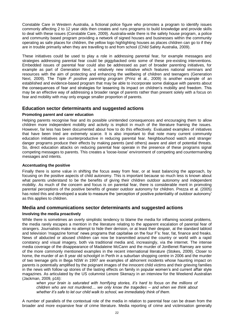Constable Care in Western Australia, a fictional police figure who promotes a program to identify issues commonly affecting 2 to 12 year olds then creates and runs programs to build knowledge and provide skills to deal with these issues (Constable Care, 2009). Australia-wide there is the safety house program, a police and community based program providing a network of signed houses and businesses within the community operating as safe places for children, the yellow logo highlighting houses as places children can go to if they are in trouble primarily when they are travelling to and from school (Child Safety Australia, 2009).

These initiatives could be used to play a role in addressing parental fear, for example messages and strategies addressing parental fear could be piggybacked onto some of these pre-existing interventions. Embedded issues of parental fear could also be addressed as part of broader parenting initiatives, for example as part of *Generation Next*, a relatively new initiative which features national seminars and resources with the aim of protecting and enhancing the wellbeing of children and teenagers (Generation Next, 2009). The *Triple P positive parenting program* (Prinz et al., 2009) is another example of an established and evidence-based program that may be able to incorporate some dialogue with parents about the consequences of fear and strategies for lessening its impact on children's mobility and freedom. This may be an effective way of addressing a broader range of parents rather than present solely with a focus on fear and mobility with may only engage smaller proportion of parents.

#### **Education sector determinants and suggested actions**

#### **Promoting parent and carer education**

Helping parents recognise fear and its possible unintended consequences and encouraging them to allow children more independent mobility and activity is implicit in much of the literature framing the issues. However, far less has been documented about how to do this effectively. Evaluated examples of initiatives that have been tried are extremely scarce. It is also important to that note many current community education initiatives are counterproductive in reducing parental fear. Neighbourhood watch and stranger danger programs produce their effects by making parents (and others) aware and alert of potential threats. So, direct education attacks on reducing parental fear operate in the presence of these programs signal competing messages to parents. This creates a 'loose-loose' environment of competing and countermanding messages and intents.

#### **Accentuating the positive**

Finally there is some value in shifting the focus away from fear, or at least balancing the approach, by focusing on the positive aspects of child autonomy. This is important because so much less is known about what parents understand to be the benefits of giving their children outdoor autonomy and independent mobility. As much of the concern and focus is on parental fear, there is considerable merit in promoting parental perceptions of the positive benefits of greater outdoor autonomy for children. Prezza et al. (2005) has noted this and developed a scale to measure the 'perception of positive potentiality of outdoor autonomy' as this applies to children.

#### **Media and communications sector determinants and suggested actions**

#### **Involving the media proactively**

While there is sometimes an overly simplistic tendency to blame the media for inflaming societal problems, the media rarely escapes a mention in the literature relating to the apparent escalation of parental fear of strangers. Journalists make no attempt to hide their derision, or at least their despair, at the standard tabloid and television 'magazine format' news programs that capitalise on the four F's: fear, fat, finance and freaks. News of abducted or abused children can now be transmitted around the country or world with a rapid constancy and visual imagery, both via traditional media and, increasingly, via the internet. The intense media coverage of the disappearance of Madaleine McCann and the murder of JonBenet Ramsey are some of the more commonly mentioned examples in the recent international literature (Stokes, 2009). Closer to home, the murder of an 8 year old schoolgirl in Perth in a suburban shopping centre in 2006 and the murder of two teenage girls in Bega NSW in 1997 are examples of abhorrent incidents whose haunting impact on parents is potentially amplified by the poignant images of the innocent child victims and their grieving families in the news with follow up stories of the lasting effects on family in popular women's and current affair style magazines. As articulated by the US columnist Lenore Skenazy in an interview for the Weekend Australian (Jackman, 2009, p16):

*when your brain is saturated with horrifying stories, it's hard to focus on the millions of children who are not murdered.... we only know the tragedies – and when we think about whether it's safe to let our child walk to school, we immediately think of them*.

A number of parallels of the contextual role of the media in relation to parental fear can be drawn from the broader and more expansive fear of crime literature. Media reporting of crime and victimisation generally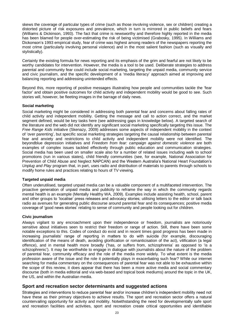skews the coverage of particular types of crime (such as those involving violence, sex or children) creating a distorted picture of risk exposures and prevalence, which in turn is mirrored in public beliefs and fears (Williams & Dickinson, 1993). The fact that crime is newsworthy and therefore highly reported in the media has been blamed for people over-estimating the risk of being victimised (Grabosky, 1995). In Williams and Dickonson's 1993 empirical study, fear of crime was highest among readers of the newspapers reporting the most crime (particularly involving personal violence) and in the most salient fashion (such as visually and stylistically).

Certainly the existing formula for news reporting and its emphasis of the grim and fearful are not likely to be worthy candidates for intervention. However, the media is a tool to be used. Deliberate strategies to address parental and community fear could include social marketing, targeting the unpaid media, community service and civic journalism, and the specific development of a 'media literacy' approach aimed at improving and balancing reporting and addressing unintended effects.

Beyond this, more reporting of positive messages illustrating how people and communities tackle the 'fear factor' and obtain positive outcomes for child activity and independent mobility would be good to see. Such stories will, however, be fleeting images in the barrage of daily news.

#### **Social marketing**

Social marketing might be considered in addressing both parental fear and concerns about falling rates of child activity and independent mobility. Getting the message and call to action correct, and the market segment defined, would be key tasks here (see addressing gaps in knowledge below). A targeted search of the literature and the web did not identify any significant social marketing specifically targeting this issue. The *Free Range Kids* initiative (Skenazy, 2009) addresses some aspects of independent mobility in the context of 'over parenting', but specific social marketing strategies targeting the causal relationship between parental fear and anxiety and restrictions to child activity and independent mobility were not identified. The beyondblue depression initiatives and *Freedom from fear: campaign against domestic violence* are both examples of complex issues tackled effectively through public education and communication strategies. Social media has been used on smaller scale also for a number of related issues including walk to school promotions (run in various states), child friendly communities (see, for example, National Association for Prevention of Child Abuse and Neglect NAPCAN) and the Western Australia's National Heart Foundation's *Unplug and Play* program that, in part, uses radio and distribution of materials to parents through schools to modify home rules and practices relating to hours of TV viewing.

#### **Targeted unpaid media**

Often underutilised, targeted unpaid media can be a valuable component of a multifaceted intervention. The proactive generation of unpaid media and publicity to reframe the way in which the community regards mental health is an example (Mentally Healthy WA, 2009). Examples include assisting health, school, parent and other groups to 'localise' press releases and advocacy stories; utilising letters to the editor or talk back radio as avenues for generating public discourse around parental fear and its consequences; positive media coverage of 'good news stories' relating to sense of community and people looking out for children.

#### **Civic journalism**

Always vigilant to any encroachment upon their independence or freedom, journalists are notoriously sensitive about initiatives seen to restrict their freedom or range of action. Still, there have been some notable exceptions to this. Codes of conduct do exist and in recent times good progress has been made in increasing journalists' range of reporting in matters to do with suicide (for example, discouraging identification of the means of death, avoiding glorification or romanticisation of the act), vilification (a legal offence), and in mental health more broadly ('has, or suffers from, schizophrenia' as opposed to 'is a schizophrenic'). It may be worthwhile to engage in dialogue with journalists about the nature of the problem of parental fear, community efficacy and the role of the media more widely. To what extent is the media profession aware of the issue and the role it potentially plays in exacerbating such fear? While our internet searching for media commentary on the consequences of parental fear was not able to be exhaustive within the scope of this review, it does appear that there has been a more active media and social commentary discourse (both in media editorial and via web-based and topical book mediums) around the topic in the UK, the US, and within the Australian media.

#### **Sport and recreation sector determinants and suggested actions**

Strategies and interventions to reduce parental fear and/or increase children's independent mobility need not have these as their primary objectives to achieve results. The sport and recreation sector offers a natural countervailing opportunity for activity and mobility. Notwithstanding the need for developmentally safe sport and recreation facilities and activities, sport and recreation create critical opportunities and identifiable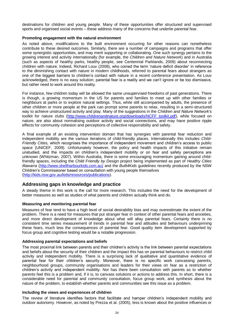destinations for children and young people. Many of these opportunities offer structured and supervised sports and organised social events – these address many of the concerns that underlie parental fear.

#### **Promoting engagement with the natural environment**

As noted above, modifications to the built environment occurring for other reasons can nonetheless contribute to these desired outcomes. Similarly, there are a number of campaigns and programs that offer some synergistic opportunities, and may merit supporting or collaborating. One such synergy pertains to the growing interest and activity internationally (for example, the *Children and Nature Network*) and in Australia (such as aspects of healthy parks, healthy people, see Centennial Parklands, 2009) about reconnecting children with nature. Indeed, Richard Louv (2008), who coined the term 'nature deficit disorder' in reference to the diminishing contact with nature in modern childhoods, referred to parental fears about strangers as one of the biggest barriers to children's contact with nature in a recent conference presentation. As Louv acknowledged, there is no easy solution; parental fear is a reality and we can't ignore or be too dismissive, but rather need to work around this reality.

For instance, few children today will be allowed the same unsupervised freedoms of past generations. There is though, a growing momentum in the US for parents and families to meet up with other families or neighbours at parks or to explore natural settings. Thus, while still accompanied by adults, the presence of other children or more people at the park can prompt some parents to relax, resulting in a semi-structured way to achieve unstructured activity and play. Many of the suggestions in the *Children and Nature Network'*s toolkit for nature clubs [\(http://www.childrenandnature.org/downloads/NCFF\\_toolkit.pdf\)](http://www.childrenandnature.org/downloads/NCFF_toolkit.pdf), while focused on nature, are also about normalising outdoor activity and social connections, and may have positive ripple effects for community cohesion and perceptions of collective responsibility and safety.

A final example of an existing intervention domain that has synergies with parental fear reduction and independent mobility are the various iterations of child-friendly places. Internationally this includes *Child-Friendly Cities,* which recognises the importance of independent movement and children's access to public space (UNICEF, 2009). Unfortunately however, the policy and health impacts of this initiative remain unstudied, and the impacts on children's independent mobility or on fear and safety perceptions are unknown (Whitzman, 2007). Within Australia, there is some encouraging momentum gaining around childfriendly spaces, including the *Child Friendly by Design* project being implemented as part of *Healthy Cities Illawarra* [\(http://www.shellharbourkids.com.au\)](http://www.shellharbourkids.com.au)/) and the *Built4Kids* guidelines recently produced by the NSW Children's Commissioner based on consultation with young people themselves [\(http://kids.nsw.gov.au/kids/resources/publications\)](http://kids.nsw.gov.au/kids/resources/publications).

#### **Addressing gaps in knowledge and practice**

A steady theme in this work is the call for more research. This includes the need for the development of better measures as well as studies of what parents and children actually think and do.

#### **Measuring and monitoring parental fear**

Measures of fear tend to have a high level of social desirability bias and may overestimate the extent of the problem. There is a need for measures that put stranger fear in context of other parental fears and anxieties, and more direct development of knowledge about what will allay parental fears. Certainly there is no consistent time series measurement of trends in parental fear and attitudes and behaviours underpinning these fears, much less the consequences of parental fear. Good quality item development supported by focus group and cognitive testing would be a notable progression.

#### **Addressing parental expectations and beliefs**

The most proximal link between parents and their children's activity is the link between parental expectations and beliefs about the security of their children and the impact this has on parental behaviours to restrict child activity and independent mobility. There is a surprising lack of qualitative and quantitative evidence of parental fear for their children's security. Moreover, there is no specific work canvassing parents, neighbourhood groups, community organisations and leaders for their views on fear as a restriction of children's activity and independent mobility. Nor has there been consultation with parents as to whether parents feel this is a problem and, if it is, to canvass solutions or actions to address this. In short, there is a considerable need for parental and community consultation, focus group work, and synthesis about the nature of the problem, to establish whether parents and communities see this issue as a problem.

#### **Including the views and experiences of children**

The review of literature identifies factors that facilitate and hamper children's independent mobility and outdoor autonomy. However, as noted by Prezza et al. (2005), less is known about the positive influences or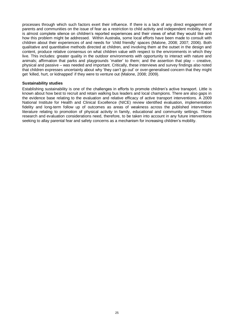processes through which such factors exert their influence. If there is a lack of any direct engagement of parents and communities on the issue of fear as a restriction to child activity and independent mobility, there is almost complete silence on children's reported experiences and their views of what they would like and how this problem might be addressed. Within Australia, some local efforts have been made to consult with children about their experiences of and needs for 'child friendly' spaces (Malone, 2008; 2007; 2006). Both qualitative and quantitative methods directed at children, and involving them at the outset in the design and content, produce relative consensus on what children value with respect to the environments in which they live. This includes: greater quality in the outdoor environments with opportunity to interact with nature and animals; affirmation that parks and playgrounds 'matter' to them; and the assertion that play – creative, physical and passive – was needed and important. Critically, these interviews and survey findings also noted that children expresses uncertainly about why 'they can't go out' or over-generalised concern that they might get 'killed, hurt, or kidnapped' if they were to venture out (Malone, 2008; 2009).

#### **Sustainability studies**

Establishing sustainability is one of the challenges in efforts to promote children's active transport. Little is known about how best to recruit and retain walking bus leaders and local champions. There are also gaps in the evidence base relating to the evaluation and relative efficacy of active transport interventions. A 2009 National Institute for Health and Clinical Excellence (NICE) review identified evaluation, implementation fidelity and long-term follow up of outcomes as areas of weakness across the published intervention literature relating to promotion of physical activity in family, educational and community settings. These research and evaluation considerations need, therefore, to be taken into account in any future interventions seeking to allay parental fear and safety concerns as a mechanism for increasing children's mobility.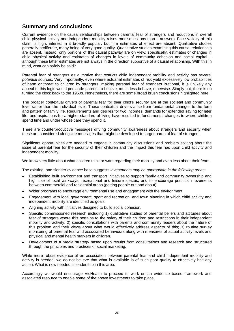# **Summary and conclusions**

Current evidence on the causal relationships between parental fear of strangers and reductions in overall child physical activity and independent mobility raises more questions than it answers. Face validity of this claim is high, interest in it broadly popular, but firm estimates of effect are absent. Qualitative studies generally proliferate, many being of very good quality. Quantitative studies examining this causal relationship are absent. Instead, only portions of this causal pathway are on view: specifically, estimates of changes in child physical activity and estimates of changes in levels of community cohesion and social capital – although these latter estimates are not always in the direction supportive of a causal relationship. With this in mind, what can safely be said?

Parental fear of strangers as a motive that restricts child independent mobility and activity has several *potential* sources. Very importantly, even where actuarial estimates of risk yield excessively low probabilities of harm or threat to children by strangers, making parental fear of strangers irrational, it is unlikely any appeal to this logic would persuade parents to believe, much less behave, otherwise. Simply put, there is no turning the clock back to the 1950s. Nonetheless, there are some broad brush conclusions highlighted here.

The broader contextual drivers of parental fear for their child's security are at the societal and community level rather than the individual level. These contextual drivers arise from fundamental changes to the form and pattern of family life. Requirements and desires for two incomes, demands for extended saving for later life, and aspirations for a higher standard of living have resulted in fundamental changes to where children spend time and under whose care they spend it.

There are counterproductive messages driving community awareness about strangers and security when these are considered alongside messages that might be developed to target parental fear of strangers.

Significant opportunities are needed to engage in community discussions and problem solving about the issue of parental fear for the security of their children and the impact this fear has upon child activity and independent mobility.

We know very little about what children think or want regarding their mobility and even less about their fears.

The existing, and slender evidence base suggests *investments may be appropriate in the following areas:*

- Establishing built environment and transport initiatives to support family and community ownership and high use of local walkways, recreational and leisure spaces, and to encourage practical movements between commercial and residential areas (getting people out and about).
- Wider programs to encourage environmental use and engagement with the environment.
- Engagement with local government, sport and recreation, and town planning in which child activity and independent mobility are identified as goals.
- Aligning activity with initiatives designed to build social cohesion.
- Specific commissioned research including 1) qualitative studies of parental beliefs and attitudes about fear of strangers where this pertains to the safety of their children and restrictions in their independent mobility and activity; 2) specific consultations with parents and community leaders about the nature of this problem and their views about what would effectively address aspects of this; 3) routine survey monitoring of parental fear and associated behaviours along with measures of actual activity levels and physical and mental health markers in children.
- Development of a media strategy based upon results from consultations and research and structured through the principles and practices of social marketing.

While more robust evidence of an association between parental fear and child independent mobility and activity is needed, we do not believe that what is available is of such poor quality to effectively halt any action. What is now needed is leadership in this area.

Accordingly we would encourage VicHealth to proceed to work on an evidence based framework and associated resource to enable some of the above investments to take place.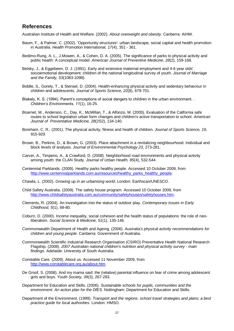### **References**

Australian Institute of Health and Welfare. (2002). *About overweight and obesity*. Canberra: AIHW.

- Baum, F., & Palmer, C. (2002). 'Opportunity structures': urban landscape, social capital and health promotion in Australia. *Health Promotion International, 17*(4), 351 - 361.
- Bedimo-Rung, A. L., J.Mowen, A., & Cohen, D. A. (2005). The significance of parks to physical activity and public health: A conceptual model. *American Journal of Preventive Medicine, 28*(2), 159-168.
- Belsky, J., & Eggebeen, D. J. (1991). Early and extensive maternal employment and 4-6 year olds' socioemotional development: children of the national longitudinal survey of youth. *Journal of Marriage and the Family, 53*(1083-1098).
- Biddle, S., Gorely, T., & Stensel, D. (2004). Health-enhancing physical activity and sedentary behaviour in children and adolescents. *Journal of Sports Science, 22*(8), 679-701.
- Blakely, K. S. (1994). Parent's conceptions of social dangers to children in the urban environment. . *Children's Environments, 11*(1), 16-25.
- Boarnet, M., Anderson, C., Day, K., McMillan, T., & Alfonzo, M. (2005). Evaluation of the California safe routes to school legislation urban form changes and children's active transportation to school. *American Journal of Preventative Medicine, 28*(2S2), 134-140.
- Boreham, C. R., (2001). The physical activity, fitness and health of children. *Journal of Sports Science, 19*, 915-929.
- Brown, B., Perkins, D., & Brown, G. (2003). Place attachment in a revitalizing neighbourhood: Individual and block levels of analysis. *Journal of Environmental Psychology 23*, 273-281.
- Carver, A., Timperio, A., & Crawford, D. (2008). Neighborhood road environments and physical activity among youth: the CLAN Study. *Journal of Urban Health, 85*(4), 532-544.
- Centennial Parklands. (2009). Healthy parks healthy people. Accessed 10 October 2009, from [http://www.centennialparklands.com.au/resources/healthy\\_parks\\_healthy\\_people.](http://www.centennialparklands.com.au/resources/healthy_parks_healthy_people)
- Chawla, L. (2002). *Growing up in an urbanising world*. London: Earthscan/UNESCO.
- Child Safety Australia. (2009). The safety house program. Accessed 10 October 2009, from [http://www.childsafetyaustralia.com.au/community/safetyhouses/safetyhouses.htm.](http://www.childsafetyaustralia.com.au/community/safetyhouses/safetyhouses.htm)
- Clements, R. (2004). An investigation into the status of outdoor play. *Contemporary Issues in Early Childhood, 5*(1), 68-80.
- Coburn, D. (2000). Income inequality, social cohesion and the health status of populations: the role of neoliberalism. *Social Science & Medicine, 51*(1), 135-146.
- Commonwealth Department of Health and Ageing. (2006). *Australia's physical activity recommendations for children and young people*. Canberra: Government of Australia.
- Commonwealth Scientific Industrial Research Organisation (CSIRO) Preventative Health National Research Flagship. (2008). *2007 Australian national children's nutrition and physical activity survey - main findings*. Adelaide: University of South Australia.
- Constable Care. (2009). About us. Accessed 11 November 2009, from [http://www.constablecare.org.au/about.htm.](http://www.constablecare.org.au/about.htm)
- De Groof, S. (2008). And my mama said: the (relative) parental influence on fear of crime among adolescent girls and boys. *Youth Society, 39*(3), 267-293.
- Department for Education and Skills. (2006). *Sustainable schools for pupils, communities and the environment. An action plan for the DfES.* Nottingham: Department for Education and Skills.
- Department of the Environment. (1999). *Transport and the regions. school travel strategies and plans; a best practice guide for local authorities.* London: HMSO.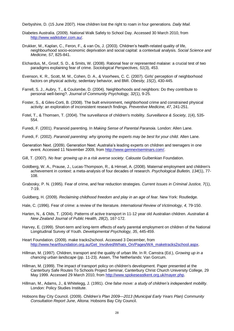Derbyshire, D. (15 June 2007). How children lost the right to roam in four generations*. Daily Mail.*

- Diabetes Australia. (2009). National Walk Safely to School Day. Accessed 30 March 2010, from [http://www.walktober.com.au/.](http://www.walktober.com.au/)
- Drukker, M., Kaplan, C., Feron, F., & van Os, J. (2003). Children's health-related quality of life, neighbourhood socio-economic deprivation and social capital: a contextual analysis. *Social Science and Medicine, 57*, 825-841.
- Elchardus, M., Groof, S. D., & Smits, W. (2008). Rational fear or represented malaise: a crucial test of two paradigms explaining fear of crime. *Sociological Perspectives, 51*(3), 453.
- Evenson, K. R., Scott, M. M., Cohen, D. A., & Voorhees, C. C. (2007). Girls' perception of neighborhood factors on physical activity, sedentary behavior, and BMI. *Obesity, 15*(2), 430-445.
- Farrell, S. J., Aubry, T., & Coulombe, D. (2004). Neighborhoods and neighbors: Do they contribute to personal well-being?. *Journal of Community Psychology, 32*(1), 9-25.
- Foster, S., & Giles-Corti, B. (2008). The built environment, neighborhood crime and constrained physical activity: an exploration of inconsistent research findings. *Preventive Medicine, 47*, 241-251.
- Fotel, T., & Thomsen, T. (2004). The surveillance of children's mobility. *Surveillance & Society, 1*(4), 535- 554.
- Furedi, F. (2001). Paranoid parenting. In *Making Sense of Parental Paranoia*. London: Allen Lane.
- Furedi, F. (2002). *Paranoid parenting: why ignoring the experts may be best for your child*. Allen Lane.
- Generation Next. (2009). Generation Next: Australia's leading experts on children and teenagers in one event. Accessed 11 November 2009, from [http://www.gennextseminars.com/.](http://www.gennextseminars.com/)
- Gill, T. (2007). *No fear: growing up in a risk averse society.* Calouste Gulbenkian Foundation.
- Goldberg, W. A., Prause, J., Lucas-Thompson, R., & Himsel, A. (2008). Maternal employment and children's achievement in context: a meta-analysis of four decades of research. *Psychological Bulletin, 134*(1), 77- 108.
- Grabosky, P. N. (1995). Fear of crime, and fear reduction strategies. *Current Issues in Criminal Justice, 7*(1), 7-19.
- Guldberg, H. (2009). *Reclaiming childhood freedom and play in an age of fear.* New York: Routledge.
- Hale, C. (1996). Fear of crime: a review of the literature. *International Review of Victimology, 4*, 79-150.
- Harten, N., & Olds, T. (2004). Patterns of active transport in 11-12 year old Australian children. *Australian & New Zealand Journal of Public Health, 28*(2), 167-172.
- Harvey, E. (1999). Short-term and long-term effects of early parental employment on children of the National Longitudinal Survey of Youth. *Developmental Psychology, 35*, 445-459.
- Heart Foundation. (2009). make tracks2school. Accessed 3 December, from [http://www.heartfoundation.org.au/Get\\_Involved/Whats\\_On/Pages/WA\\_maketracks2school.aspx.](http://www.heartfoundation.org.au/Get_Involved/Whats_On/Pages/WA_maketracks2school.aspx)
- Hillman, M. (1997). Children, transport and the quality of urban life. In R. Camstra (Ed.), *Growing up in a chancing urban landscape* (pp. 11-23). Assen, The Netherlands: Van Gorcum.
- Hillman, M. (1999). The impact of transport policy on children's development. Paper presented at the Canterbury Safe Routes To Schools Project Seminar, Canterbury Christ Church University College, 29 May 1999. Accessed 29 March 2010, from [http://www.spokeseastkent.org.uk/mayer.php.](http://www.spokeseastkent.org.uk/mayer.php)
- Hillman, M., Adams, J., & Whitelegg, J. (1991). *One false move: a study of children's independent mobility.* London: Policy Studies Institute.
- Hobsons Bay City Council. (2009). *Children's Plan 2009—2013 (Municipal Early Years Plan) Community Consultation Report June*, Altona: Hobsons Bay City Council.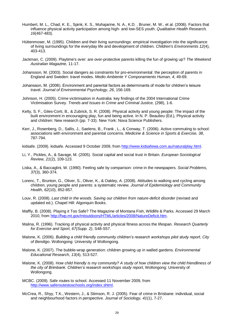- Humbert, M. L., Chad, K. E., Spink, K. S., Muhajarine, N. A., K.D. , Bruner, M. W., et al. (2006). Factors that influence physical activity participation among high- and low-SES youth. *Qualitative Health Research, 16*(467-483).
- Hüttenmoser, M. (1995). Children and their living surroundings: empirical investigation into the significance of living surroundings for the everyday life and development of children. *Children's Environments 12*(4), 403-413.
- Jackman, C. (2009). Playtime's over: are over-protective parents killing the fun of growing up? *The Weekend Australian Magazine,* 11-17.
- Johansson, M. (2003). Social dangers as constraints for pro-environmental: the perception of parents in England and Sweden: travel modes. *Medio Ambiente Y Comporamiento Human, 4*, 49-69.
- Johansson, M. (2006). Environment and parental factors as determinants of mode for children's leisure travel. *Journal of Environmental Psychology, 26*, 156-169.
- Johnson, H. (2005). Crime victimisation in Australia: key findings of the 2004 International Crime Victimisation Survey. *Trends and Issues in Crime and Criminal Justice,* (298), 1-6.
- Kelty, S. F., Giles-Corti, B., & Zubrick, S. R. (2008). Physical activity and young people: The impact of the built environment in encouraging play, fun and being active. In N. P. Beaulieu (Ed.), Physical activity and children: New research (pp. 7-33). New York: Nova Science Publishers.
- Kerr, J., Rosenberg, D., Sallis, J., Saelens, B., Frank , L., & Conway, T. (2006). Active commuting to school: associations with environment and parental concerns. *Medicine & Science in Sports & Exercise, 38*, 787-794.
- kidsafe. (2009). kidsafe. Accessed 9 October 2009, from [http://www.kidsafewa.com.au/naturalplay.html.](http://www.kidsafewa.com.au/naturalplay.html)
- Li, Y., Pickles, A., & Savage, M. (2005). Social capital and social trust in Britain. *European Sociological Review, 21*(2), 109-123.
- Liska, A., & Baccaglini, W. (1990). Feeling safe by comparison: crime in the newspapers. *Social Problems, 37*(3), 360-374.
- Lorenc, T., Brunton, G., Oliver, S., Oliver, K., & Oakley, A. (2008). Attitudes to walking and cycling among children, young people and parents: a systematic review. *Journal of Epidemiology and Community Health, 62*(10), 852-857.
- Louv, R. (2008). *Last child in the woods. Saving our children from nature-deficit disorder* (revised and updated ed.). Chapel Hill: Algonquin Books.
- Maffly, B. (2008). Playing it Too Safe? The Magazine of Montana Fish, Wildlife & Parks. Accessed 29 March 2010, from [http://fwp.mt.gov/mtoutdoors/HTML/articles/2008/NatureDeficit.htm.](http://fwp.mt.gov/mtoutdoors/HTML/articles/2008/NatureDeficit.htm)
- Malina, R. (1996). Tracking of physical activity and physical fitness across the lifespan. *Research Quarterly for Exercise and Sport, 67(Supp. 2)*, S48-S57.
- Malone, K. (2006). *Building a child friendly community children's research workshops pilot study report*, *City of Bendigo*. Wollongong: University of Wollongong.
- Malone, K. (2007). The bubble-wrap generation: children growing up in walled gardens. *Environmental Educational Research*, *13*(4), 513-527.
- Malone, K. (2008). H*ow child friendly is my community? A study of how children view the child friendliness of the city of Brimbank. Children's research workshops study report*, Wollongong: University of Wollongong.
- MCBC. (2009). Safe routes to school. Accessed 11 November 2009, from [http://www.saferoutestoschools.org/index.shtml.](http://www.saferoutestoschools.org/index.shtml)
- McCrea, R., Shyy, T.K., Western, J., & Stimson, R. J. (2005). Fear of crime in Brisbane: individual, social and neighbourhood factors in perspective. *Journal of Sociology, 41*(1), 7-27.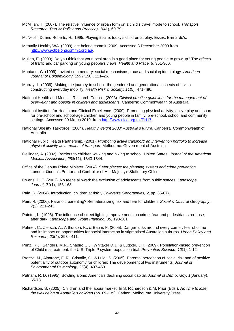- McMillan, T. (2007). The relative influence of urban form on a child's travel mode to school. *Transport Research (Part A: Policy and Practice), 1*(41), 69-79.
- McNeish, D. and Roberts, H., 1995. Playing it safe: today's children at play. Essex: Barnardo's.
- Mentally Healthy WA. (2009). act.belong.commit. 2009, Accessed 3 December 2009 from [http://www.actbelongcommit.org.au/.](http://www.actbelongcommit.org.au/)
- Mullen, E. (2003). Do you think that your local area is a good place for young people to grow up? The effects of traffic and car parking on young people's views. *Health and Place, 9*, 351-360.
- Muntaner C. (1999). Invited commentary: social mechanisms, race and social epidemiology. *American Journal of Epidemiology, 1999(*150), 121–26.
- Murray, L. (2009). Making the journey to school: the gendered and generational aspects of risk in constructing everyday mobility. *Health Risk & Society, 11*(5), 471-486.
- National Health and Medical Research Council. (2003). *Clinical practice guidelines for the management of overweight and obesity in children and adolescents*. Canberra: Commonwealth of Australia.
- National Institute for Health and Clinical Excellence. (2009). Promoting physical activity, active play and sport for pre-school and school-age children and young people in family, pre-school, school and community settings. Accessed 29 March 2010, from [http://www.nice.org.uk/PH17.](http://www.nice.org.uk/PH17)
- National Obesity Taskforce. (2004). *Healthy weight 2008: Australia's future*. Canberra: Commonwealth of Australia.
- National Public Health Partnership. (2001). *Promoting active transport: an intervention portfolio to increase physical activity as a means of transport*. Melbourne: Government of Australia.
- Oellinger, A. (2002). Barriers to children walking and biking to school: United States. *Journal of the American Medical Association, 288*(11), 1343-1344.
- Office of the Deputy Prime Minister. (2004). *Safer places: the planning system and crime prevention*. London: Queen's Printer and Controller of Her Majesty's Stationery Office.
- Owens, P. E. (2002). No teens allowed: the exclusion of adolescents from public spaces. *Landscape Journal, 21*(1), 156-163.
- Pain, R. (2004). Introduction: children at risk?, *Children's Geographies, 2*, pp. 65-67).
- Pain, R. (2006). Paranoid parenting? Rematerializing risk and fear for children. *Social & Cultural Geography, 7*(2), 221-243.
- Painter, K. (1996). The influence of street lighting improvements on crime, fear and pedestrian street use, after dark. *Landscape and Urban Planning, 35*, 193-201.
- Palmer, C., Ziersch, A., Arthurson, K., & Baum, F. (2005). Danger lurks around every corner: fear of crime and its impact on opportunities for social interaction in stigmatised Australian suburbs. *Urban Policy and Research, 23*(4), 393 - 411.
- Prinz, R.J., Sanders, M.R,. Shapiro C.J., Whitaker D.J., & Lutzker, J.R. (2009). Population-based prevention of Child maltreatment: the U.S. Triple P system population trial. *Prevention Science*, *10*(1), 1-12.
- Prezza, M., Alparone, F. R., Cristallo, C., & Luigi, S. (2005). Parental perception of social risk and of positive potentiality of outdoor autonomy for children: The development of two instruments. *Journal of Environmental Psychology, 25*(4), 437-453.
- Putnam, R. D. (1995). Bowling alone: America's declining social capital. *Journal of Democracy, 1*(January), 65-78.
- Richardson, S. (2005). Children and the labour market. In S. Richardson & M. Prior (Eds.), *No time to lose: the well being of Australia's children* (pp. 89-139). Carlton: Melbourne University Press.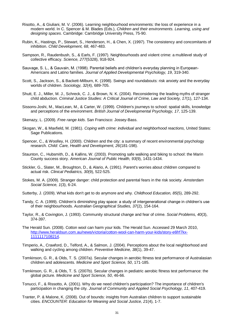- Risotto, A., & Giuliani, M. V. (2006). Learning neighbourhood environments: the loss of experience in a modern world. In C. Spencer & M. Blades (Eds.), *Children and their environments. Learning, using and designing spaces*. Cambridge: Cambridge University Press, 75-90.
- Rubin, K., Hastings, P., Stewart, S., Henderson, H., & Chen, X. (1997). The consistency and concomitants of inhibition. *Child Development, 68*, 467-483.
- Sampson, R., Raudenbush, S., & Earls, F. (1997). Neighbourhoods and violent crime: a multilevel study of collective efficacy. *Science, 277*(5328), 918-924.
- Sauvage, S. L., & Gauvain, M. (1998). Parental beliefs and children's everyday planning in European-Americans and Latino families. *Journal of Applied Developmental Psychology, 19*, 319-340.
- Scott, S., Jackson, S., & Backett-Milburn, K. (1998). Swings and roundabouts: risk anxiety and the everyday worlds of children. *Sociology, 32*(4), 689-705.
- Shutt, E. J., Miller, M. J., Schreck, C. J., & Brown, N. K. (2004). Reconsidering the leading myths of stranger child abduction. *Criminal Justice Studies: A Critical Journal of Crime, Law and Society, 17*(1), 127-134.
- Sissons-Joshi, M., MacLean, M., & Carter, W. (1999). Children's journeys to school: spatial skills, knowledge and perceptions of the environment. *British Journal of Developmental Psychology, 17*, 125-139.
- Skenazy, L. (2009). *Free range kids*. San Francisco: Jossey-Bass.
- Skogan, W., & Maxfield, M. (1981). *Coping with crime: individual and neighborhood reactions,* United States: Sage Publications.
- Spencer, C., & Woolley, H. (2000). Children and the city: a summary of recent environmental psychology research. *Child: Care, Health and Development, 26*(181-198).
- Staunton, C., Hubsmith, D., & Kallins, W. (2003). Promoting safe walking and biking to school: the Marin County success story. *American Journal of Public Health, 93*(9), 1431-1434.
- Stickler, G., Slater, M., Broughton, D., & Alario, A. (1991). Parent's worries about children compared to actual risk. *Clinical Pediatrics, 30*(9), 522-525.
- Stokes, M. A. (2009). Stranger danger: child protection and parental fears in the risk society. *Amsterdam Social Science, 1*(3), 6-24.
- Sutterby, J. (2009). What kids don't get to do anymore and why. *Childhood Education, 85*(5), 289-292.
- Tandy, C. A. (1999). Children's diminishing play space: a study of intergenerational change in children's use of their neighbourhoods. *Australian Geographical Studies, 37*(2), 154-164.
- Taylor, R., & Covington, J. (1993). Community structural change and fear of crime. *Social Problems, 40*(3), 374-397.
- The Herald Sun. (2008). Cotton wool can harm your kids. The Herald Sun. Accessed 29 March 2010, [http://www.heraldsun.com.au/news/victoria/cotton-wool-can-harm-your-kids/story-e6frf7kx-](http://www.heraldsun.com.au/news/victoria/cotton-wool-can-harm-your-kids/story-e6frf7kx-1111117108214)[1111117108214.](http://www.heraldsun.com.au/news/victoria/cotton-wool-can-harm-your-kids/story-e6frf7kx-1111117108214)
- Timperio, A., Crawford, D., Telford, A., & Salmon, J. (2004). Perceptions about the local neighborhood and walking and cycling among children. *Preventive Medicine, 38*(1), 39-47.
- Tomkinson, G. R., & Olds, T. S. (2007a). Secular changes in aerobic fitness test performance of Australasian children and adolescents. *Medicine and Sport Science, 50*, 171-185.
- Tomkinson, G. R., & Olds, T. S. (2007b). Secular changes in pediatric aerobic fitness test performance: the global picture. *Medicine and Sport Science, 50*, 46-66.
- Tonucci, F., & Rissotto, A. (2001). Why do we need children's participation? The importance of children's participation in changing the city. *Journal of Community and Applied Social Psychology, 11*, 407-419.
- Tranter, P. & Malone, K. (2008). Out of bounds: insights from Australian children to support sustainable cities. *ENCOUNTER: Education for Meaning and Social Justice, 21*(4), 1-7.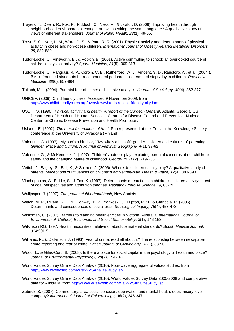- Trayers, T., Deem, R., Fox, K., Riddoch, C., Ness, A., & Lawlor, D. (2006). Improving health through neighbourhood environmental change: are we speaking the same language? A qualitative study of views of different stakeholders. *Journal of Public Health, 28*(1), 49-55.
- Trost, S. G., Kerr, L. M., Ward, D. S., & Pate, R. R. (2001). Physical activity and determinants of physical activity in obese and non-obese children. *International Journal of Obesity Related Metabolic Disorders, 25*, 882-889.
- Tudor-Locke, C., Ainsworth, B., & Popkin, B. (2001). Active commuting to school: an overlooked source of children's physical activity? *Sports Medicine, 31*(5), 309-313.
- Tudor-Locke, C., Pangrazi, R. P., Corbin, C. B., Rutherford, W. J., Vincent, S. D., Raustorp, A., et al. (2004 ). BMI-referenced standards for recommended pedometer-determined steps/day in children. *Preventive Medicine, 38*(6), 857-864.
- Tulloch, M. I. (2004). Parental fear of crime: a discursive analysis. *Journal of Sociology, 40*(4), 362-377.
- UNICEF. (2009). Child friendly cities. Accessed 9 November 2009, from [http://www.childfriendlycities.org/overview/what-is-a-child-friendly-city.html.](http://www.childfriendlycities.org/overview/what-is-a-child-friendly-city.html)
- USDHHS. (1996). *Physical activity and health. A report of the Surgeon General*. Atlanta, Georgia: US Department of Health and Human Services, Centres for Disease Control and Prevention, National Center for Chronic Disease Prevention and Health Promotion.
- Uslaner, E. (2002). *The moral foundations of trust*. Paper presented at the 'Trust in the Knowledge Society' conference at the University of Jyvaskyla (Finland).
- Valentine, G. (1997). 'My son's a bit dizzy.' 'My wife's a bit soft': gender, children and cultures of parenting. *Gender, Place and Culture: A Journal of Feminist Geography, 4*(1), 37-62.
- Valentine, G., & McKendrick, J. (1997). Children's outdoor play: exploring parental concerns about children's safety and the changing nature of childhood. *Geoforum, 28*(2), 219-235.
- Veitch, J., Bagley, S., Ball, K., & Salmon, J. (2006). Where do children usually play? A qualitative study of parents' perceptions of influences on children's active free-play. *Health & Place, 12*(4), 383-393.
- Vlachopoulos, S., Biddle, S., & Fox, K. (1997). Determinants of emotions in children's children activity: a test of goal perspectives and attribution theories. *Pediatric Exercise Science . 9*, 65-79.
- Walljasper, J. (2007). *The great neighborhood book*, New Society.
- Welch, M. R., Rivera, R. E. N., Conway, B. P., Yonkoski, J., Lupton, P. M., & Giancola, R. (2005). Determinants and consequences of social trust. *Sociological Inquiry, 75*(4), 453-473.
- Whitzman, C. (2007). Barriers to planning healthier cities in Victoria, Australia. *International Journal of Environmental, Cultural, Economic, and Social Sustainability*, *3*(1), 146-153.
- Wilkinson RG. 1997. Health inequalities: relative or absolute material standards? *British Medical Journal, 314*:591-5
- Williams, P., & Dickinson, J. (1993). Fear of crime: read all about it? The relationship between newspaper crime reporting and fear of crime. *British Journal of Criminology, 33*(1), 33-56.
- Wood, L., & Giles-Corti, B. (2008). Is there a place for social capital in the psychology of health and place? *Journal of Environmental Psychology, 28*(2), 154-163.
- World Values Survey Online Data Analysis (2010). Four-wave aggregate of values studies. from [http://www.wvsevsdb.com/wvs/WVSAnalizeStudy.jsp.](http://www.wvsevsdb.com/wvs/WVSAnalizeStudy.jsp)
- World Values Survey Online Data Analysis (2010). World Values Survey Data 2005-2008 and comparative data for Australia. from [http://www.wvsevsdb.com/wvs/WVSAnalizeStudy.jsp.](http://www.wvsevsdb.com/wvs/WVSAnalizeStudy.jsp)
- Zubrick, S. (2007). Commentary: area social cohesion, deprivation and mental health: does misery love company? *International Journal of Epidemiology, 36*(2), 345-347.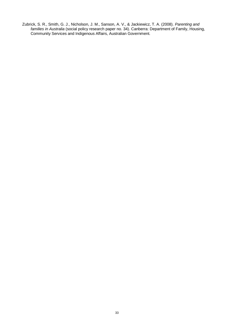Zubrick, S. R., Smith, G. J., Nicholson, J. M., Sanson, A. V., & Jackiewicz, T. A. (2008). *Parenting and families in Australia* (social policy research paper no. 34). Canberra: Department of Family, Housing, Community Services and Indigenous Affairs, Australian Government.